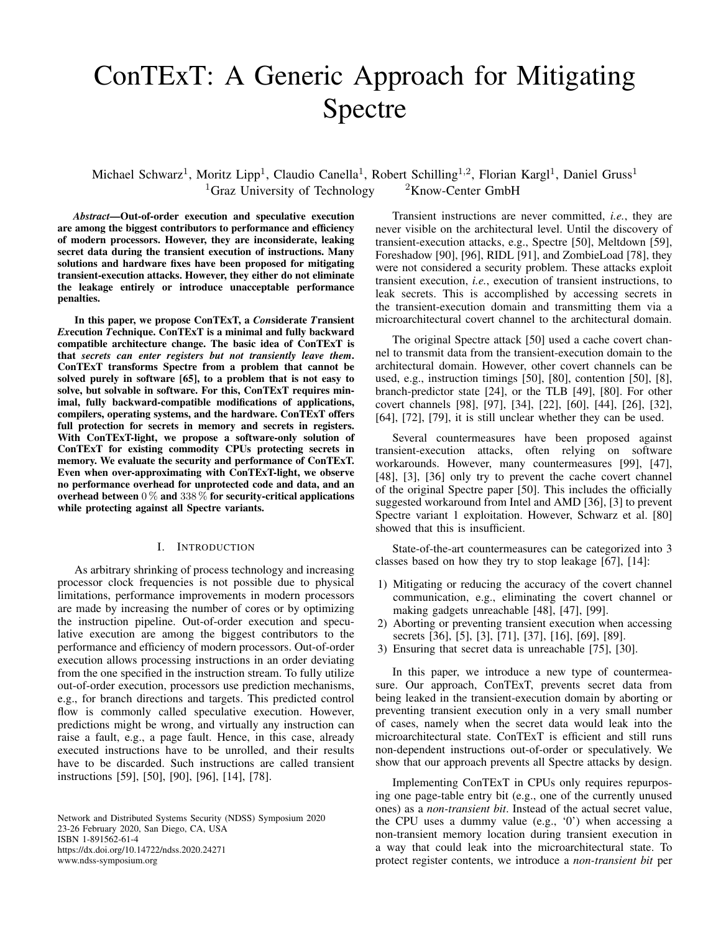# ConTExT: A Generic Approach for Mitigating Spectre

Michael Schwarz<sup>1</sup>, Moritz Lipp<sup>1</sup>, Claudio Canella<sup>1</sup>, Robert Schilling<sup>1,2</sup>, Florian Kargl<sup>1</sup>, Daniel Gruss<sup>1</sup> <sup>1</sup>Graz University of Technology  $2Know-Center GmbH$ 

*Abstract*—Out-of-order execution and speculative execution are among the biggest contributors to performance and efficiency of modern processors. However, they are inconsiderate, leaking secret data during the transient execution of instructions. Many solutions and hardware fixes have been proposed for mitigating transient-execution attacks. However, they either do not eliminate the leakage entirely or introduce unacceptable performance penalties.

In this paper, we propose ConTExT, a *Con*siderate *T*ransient *Ex*ecution *T*echnique. ConTExT is a minimal and fully backward compatible architecture change. The basic idea of ConTExT is that *secrets can enter registers but not transiently leave them*. ConTExT transforms Spectre from a problem that cannot be solved purely in software [65], to a problem that is not easy to solve, but solvable in software. For this, ConTExT requires minimal, fully backward-compatible modifications of applications, compilers, operating systems, and the hardware. ConTExT offers full protection for secrets in memory and secrets in registers. With ConTExT-light, we propose a software-only solution of ConTExT for existing commodity CPUs protecting secrets in memory. We evaluate the security and performance of ConTExT. Even when over-approximating with ConTExT-light, we observe no performance overhead for unprotected code and data, and an overhead between  $0\%$  and  $338\%$  for security-critical applications while protecting against all Spectre variants.

## I. INTRODUCTION

As arbitrary shrinking of process technology and increasing processor clock frequencies is not possible due to physical limitations, performance improvements in modern processors are made by increasing the number of cores or by optimizing the instruction pipeline. Out-of-order execution and speculative execution are among the biggest contributors to the performance and efficiency of modern processors. Out-of-order execution allows processing instructions in an order deviating from the one specified in the instruction stream. To fully utilize out-of-order execution, processors use prediction mechanisms, e.g., for branch directions and targets. This predicted control flow is commonly called speculative execution. However, predictions might be wrong, and virtually any instruction can raise a fault, e.g., a page fault. Hence, in this case, already executed instructions have to be unrolled, and their results have to be discarded. Such instructions are called transient instructions [59], [50], [90], [96], [14], [78].

Network and Distributed Systems Security (NDSS) Symposium 2020 23-26 February 2020, San Diego, CA, USA ISBN 1-891562-61-4 https://dx.doi.org/10.14722/ndss.2020.24271 www.ndss-symposium.org

Transient instructions are never committed, *i.e.*, they are never visible on the architectural level. Until the discovery of transient-execution attacks, e.g., Spectre [50], Meltdown [59], Foreshadow [90], [96], RIDL [91], and ZombieLoad [78], they were not considered a security problem. These attacks exploit transient execution, *i.e.*, execution of transient instructions, to leak secrets. This is accomplished by accessing secrets in the transient-execution domain and transmitting them via a microarchitectural covert channel to the architectural domain.

The original Spectre attack [50] used a cache covert channel to transmit data from the transient-execution domain to the architectural domain. However, other covert channels can be used, e.g., instruction timings [50], [80], contention [50], [8], branch-predictor state [24], or the TLB [49], [80]. For other covert channels [98], [97], [34], [22], [60], [44], [26], [32], [64], [72], [79], it is still unclear whether they can be used.

Several countermeasures have been proposed against transient-execution attacks, often relying on software workarounds. However, many countermeasures [99], [47], [48], [3], [36] only try to prevent the cache covert channel of the original Spectre paper [50]. This includes the officially suggested workaround from Intel and AMD [36], [3] to prevent Spectre variant 1 exploitation. However, Schwarz et al. [80] showed that this is insufficient.

State-of-the-art countermeasures can be categorized into 3 classes based on how they try to stop leakage [67], [14]:

- 1) Mitigating or reducing the accuracy of the covert channel communication, e.g., eliminating the covert channel or making gadgets unreachable [48], [47], [99].
- 2) Aborting or preventing transient execution when accessing secrets [36], [5], [3], [71], [37], [16], [69], [89].
- 3) Ensuring that secret data is unreachable [75], [30].

In this paper, we introduce a new type of countermeasure. Our approach, ConTExT, prevents secret data from being leaked in the transient-execution domain by aborting or preventing transient execution only in a very small number of cases, namely when the secret data would leak into the microarchitectural state. ConTExT is efficient and still runs non-dependent instructions out-of-order or speculatively. We show that our approach prevents all Spectre attacks by design.

Implementing ConTExT in CPUs only requires repurposing one page-table entry bit (e.g., one of the currently unused ones) as a *non-transient bit*. Instead of the actual secret value, the CPU uses a dummy value (e.g., '0') when accessing a non-transient memory location during transient execution in a way that could leak into the microarchitectural state. To protect register contents, we introduce a *non-transient bit* per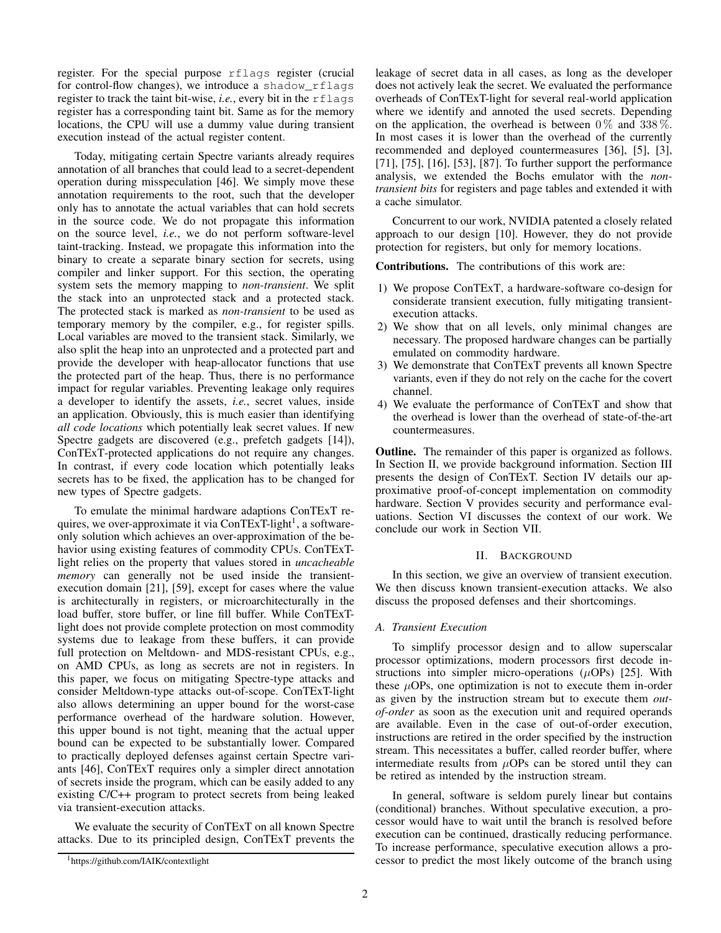register. For the special purpose rflags register (crucial for control-flow changes), we introduce a shadow\_rflags register to track the taint bit-wise, *i.e.*, every bit in the rflags register has a corresponding taint bit. Same as for the memory locations, the CPU will use a dummy value during transient execution instead of the actual register content.

Today, mitigating certain Spectre variants already requires annotation of all branches that could lead to a secret-dependent operation during misspeculation [46]. We simply move these annotation requirements to the root, such that the developer only has to annotate the actual variables that can hold secrets in the source code. We do not propagate this information on the source level, *i.e.*, we do not perform software-level taint-tracking. Instead, we propagate this information into the binary to create a separate binary section for secrets, using compiler and linker support. For this section, the operating system sets the memory mapping to *non-transient*. We split the stack into an unprotected stack and a protected stack. The protected stack is marked as *non-transient* to be used as temporary memory by the compiler, e.g., for register spills. Local variables are moved to the transient stack. Similarly, we also split the heap into an unprotected and a protected part and provide the developer with heap-allocator functions that use the protected part of the heap. Thus, there is no performance impact for regular variables. Preventing leakage only requires a developer to identify the assets, *i.e.*, secret values, inside an application. Obviously, this is much easier than identifying *all code locations* which potentially leak secret values. If new Spectre gadgets are discovered (e.g., prefetch gadgets [14]), ConTExT-protected applications do not require any changes. In contrast, if every code location which potentially leaks secrets has to be fixed, the application has to be changed for new types of Spectre gadgets.

To emulate the minimal hardware adaptions ConTExT requires, we over-approximate it via ConTExT-light<sup>1</sup>, a softwareonly solution which achieves an over-approximation of the behavior using existing features of commodity CPUs. ConTExTlight relies on the property that values stored in *uncacheable memory* can generally not be used inside the transientexecution domain [21], [59], except for cases where the value is architecturally in registers, or microarchitecturally in the load buffer, store buffer, or line fill buffer. While ConTExTlight does not provide complete protection on most commodity systems due to leakage from these buffers, it can provide full protection on Meltdown- and MDS-resistant CPUs, e.g., on AMD CPUs, as long as secrets are not in registers. In this paper, we focus on mitigating Spectre-type attacks and consider Meltdown-type attacks out-of-scope. ConTExT-light also allows determining an upper bound for the worst-case performance overhead of the hardware solution. However, this upper bound is not tight, meaning that the actual upper bound can be expected to be substantially lower. Compared to practically deployed defenses against certain Spectre variants [46], ConTExT requires only a simpler direct annotation of secrets inside the program, which can be easily added to any existing C/C++ program to protect secrets from being leaked via transient-execution attacks.

We evaluate the security of ConTExT on all known Spectre attacks. Due to its principled design, ConTExT prevents the leakage of secret data in all cases, as long as the developer does not actively leak the secret. We evaluated the performance overheads of ConTExT-light for several real-world application where we identify and annoted the used secrets. Depending on the application, the overhead is between  $0\%$  and  $338\%$ . In most cases it is lower than the overhead of the currently recommended and deployed countermeasures [36], [5], [3], [71], [75], [16], [53], [87]. To further support the performance analysis, we extended the Bochs emulator with the *nontransient bits* for registers and page tables and extended it with a cache simulator.

Concurrent to our work, NVIDIA patented a closely related approach to our design [10]. However, they do not provide protection for registers, but only for memory locations.

Contributions. The contributions of this work are:

- 1) We propose ConTExT, a hardware-software co-design for considerate transient execution, fully mitigating transientexecution attacks.
- 2) We show that on all levels, only minimal changes are necessary. The proposed hardware changes can be partially emulated on commodity hardware.
- 3) We demonstrate that ConTExT prevents all known Spectre variants, even if they do not rely on the cache for the covert channel.
- 4) We evaluate the performance of ConTExT and show that the overhead is lower than the overhead of state-of-the-art countermeasures.

Outline. The remainder of this paper is organized as follows. In Section II, we provide background information. Section III presents the design of ConTExT. Section IV details our approximative proof-of-concept implementation on commodity hardware. Section V provides security and performance evaluations. Section VI discusses the context of our work. We conclude our work in Section VII.

#### II. BACKGROUND

In this section, we give an overview of transient execution. We then discuss known transient-execution attacks. We also discuss the proposed defenses and their shortcomings.

## *A. Transient Execution*

To simplify processor design and to allow superscalar processor optimizations, modern processors first decode instructions into simpler micro-operations  $(\mu$ OPs) [25]. With these  $\mu$ OPs, one optimization is not to execute them in-order as given by the instruction stream but to execute them *outof-order* as soon as the execution unit and required operands are available. Even in the case of out-of-order execution, instructions are retired in the order specified by the instruction stream. This necessitates a buffer, called reorder buffer, where intermediate results from  $\mu$ OPs can be stored until they can be retired as intended by the instruction stream.

In general, software is seldom purely linear but contains (conditional) branches. Without speculative execution, a processor would have to wait until the branch is resolved before execution can be continued, drastically reducing performance. To increase performance, speculative execution allows a processor to predict the most likely outcome of the branch using

<sup>1</sup>https://github.com/IAIK/contextlight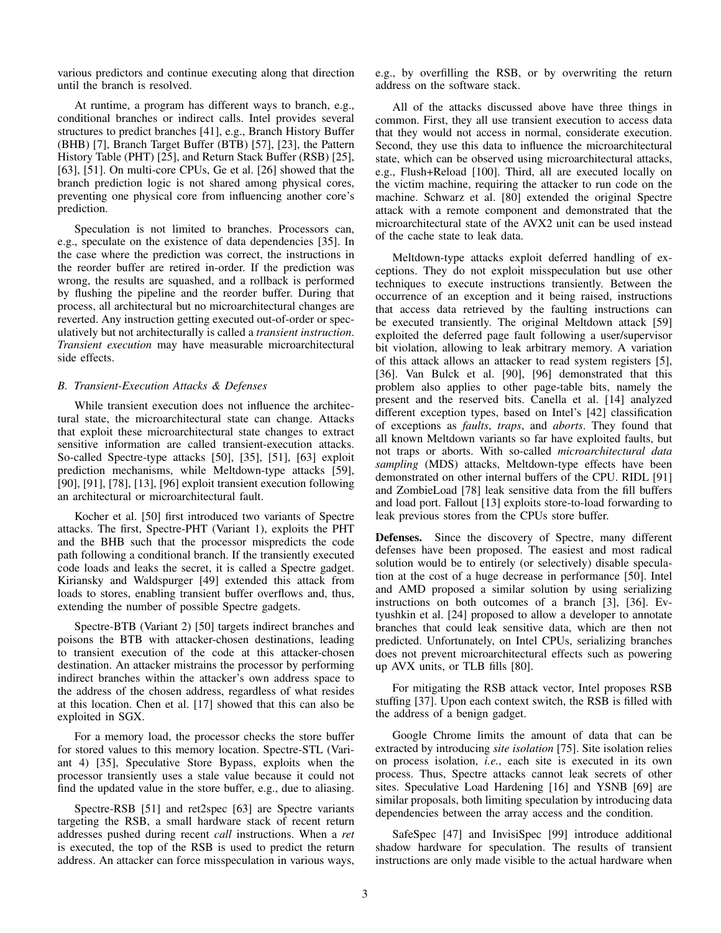various predictors and continue executing along that direction until the branch is resolved.

At runtime, a program has different ways to branch, e.g., conditional branches or indirect calls. Intel provides several structures to predict branches [41], e.g., Branch History Buffer (BHB) [7], Branch Target Buffer (BTB) [57], [23], the Pattern History Table (PHT) [25], and Return Stack Buffer (RSB) [25], [63], [51]. On multi-core CPUs, Ge et al. [26] showed that the branch prediction logic is not shared among physical cores, preventing one physical core from influencing another core's prediction.

Speculation is not limited to branches. Processors can, e.g., speculate on the existence of data dependencies [35]. In the case where the prediction was correct, the instructions in the reorder buffer are retired in-order. If the prediction was wrong, the results are squashed, and a rollback is performed by flushing the pipeline and the reorder buffer. During that process, all architectural but no microarchitectural changes are reverted. Any instruction getting executed out-of-order or speculatively but not architecturally is called a *transient instruction*. *Transient execution* may have measurable microarchitectural side effects.

## *B. Transient-Execution Attacks & Defenses*

While transient execution does not influence the architectural state, the microarchitectural state can change. Attacks that exploit these microarchitectural state changes to extract sensitive information are called transient-execution attacks. So-called Spectre-type attacks [50], [35], [51], [63] exploit prediction mechanisms, while Meltdown-type attacks [59], [90], [91], [78], [13], [96] exploit transient execution following an architectural or microarchitectural fault.

Kocher et al. [50] first introduced two variants of Spectre attacks. The first, Spectre-PHT (Variant 1), exploits the PHT and the BHB such that the processor mispredicts the code path following a conditional branch. If the transiently executed code loads and leaks the secret, it is called a Spectre gadget. Kiriansky and Waldspurger [49] extended this attack from loads to stores, enabling transient buffer overflows and, thus, extending the number of possible Spectre gadgets.

Spectre-BTB (Variant 2) [50] targets indirect branches and poisons the BTB with attacker-chosen destinations, leading to transient execution of the code at this attacker-chosen destination. An attacker mistrains the processor by performing indirect branches within the attacker's own address space to the address of the chosen address, regardless of what resides at this location. Chen et al. [17] showed that this can also be exploited in SGX.

For a memory load, the processor checks the store buffer for stored values to this memory location. Spectre-STL (Variant 4) [35], Speculative Store Bypass, exploits when the processor transiently uses a stale value because it could not find the updated value in the store buffer, e.g., due to aliasing.

Spectre-RSB [51] and ret2spec [63] are Spectre variants targeting the RSB, a small hardware stack of recent return addresses pushed during recent *call* instructions. When a *ret* is executed, the top of the RSB is used to predict the return address. An attacker can force misspeculation in various ways, e.g., by overfilling the RSB, or by overwriting the return address on the software stack.

All of the attacks discussed above have three things in common. First, they all use transient execution to access data that they would not access in normal, considerate execution. Second, they use this data to influence the microarchitectural state, which can be observed using microarchitectural attacks, e.g., Flush+Reload [100]. Third, all are executed locally on the victim machine, requiring the attacker to run code on the machine. Schwarz et al. [80] extended the original Spectre attack with a remote component and demonstrated that the microarchitectural state of the AVX2 unit can be used instead of the cache state to leak data.

Meltdown-type attacks exploit deferred handling of exceptions. They do not exploit misspeculation but use other techniques to execute instructions transiently. Between the occurrence of an exception and it being raised, instructions that access data retrieved by the faulting instructions can be executed transiently. The original Meltdown attack [59] exploited the deferred page fault following a user/supervisor bit violation, allowing to leak arbitrary memory. A variation of this attack allows an attacker to read system registers [5], [36]. Van Bulck et al. [90], [96] demonstrated that this problem also applies to other page-table bits, namely the present and the reserved bits. Canella et al. [14] analyzed different exception types, based on Intel's [42] classification of exceptions as *faults*, *traps*, and *aborts*. They found that all known Meltdown variants so far have exploited faults, but not traps or aborts. With so-called *microarchitectural data sampling* (MDS) attacks, Meltdown-type effects have been demonstrated on other internal buffers of the CPU. RIDL [91] and ZombieLoad [78] leak sensitive data from the fill buffers and load port. Fallout [13] exploits store-to-load forwarding to leak previous stores from the CPUs store buffer.

Defenses. Since the discovery of Spectre, many different defenses have been proposed. The easiest and most radical solution would be to entirely (or selectively) disable speculation at the cost of a huge decrease in performance [50]. Intel and AMD proposed a similar solution by using serializing instructions on both outcomes of a branch [3], [36]. Evtyushkin et al. [24] proposed to allow a developer to annotate branches that could leak sensitive data, which are then not predicted. Unfortunately, on Intel CPUs, serializing branches does not prevent microarchitectural effects such as powering up AVX units, or TLB fills [80].

For mitigating the RSB attack vector, Intel proposes RSB stuffing [37]. Upon each context switch, the RSB is filled with the address of a benign gadget.

Google Chrome limits the amount of data that can be extracted by introducing *site isolation* [75]. Site isolation relies on process isolation, *i.e.*, each site is executed in its own process. Thus, Spectre attacks cannot leak secrets of other sites. Speculative Load Hardening [16] and YSNB [69] are similar proposals, both limiting speculation by introducing data dependencies between the array access and the condition.

SafeSpec [47] and InvisiSpec [99] introduce additional shadow hardware for speculation. The results of transient instructions are only made visible to the actual hardware when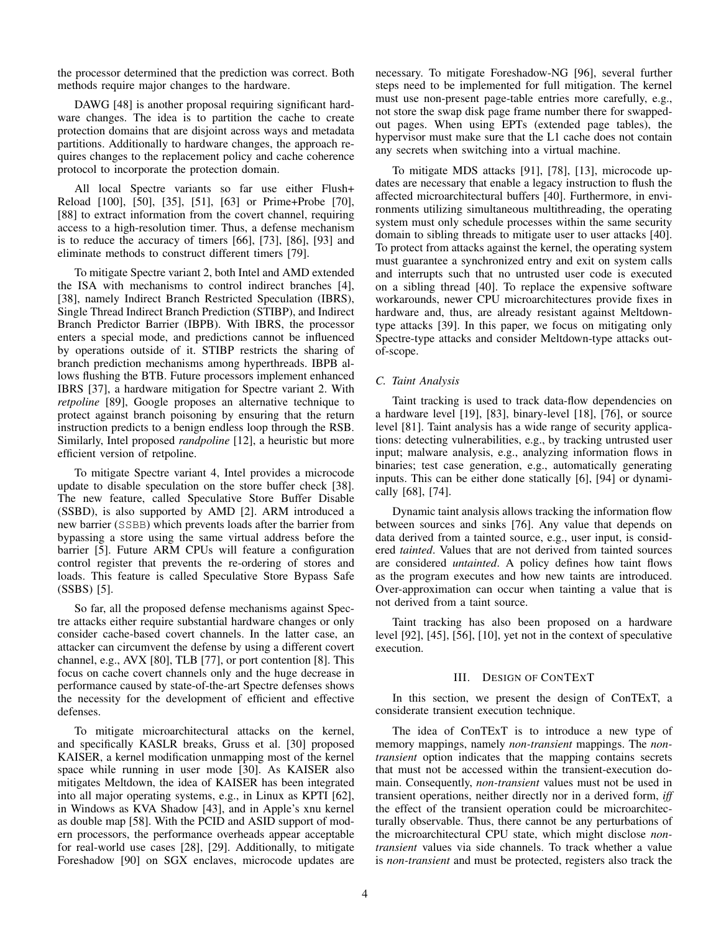the processor determined that the prediction was correct. Both methods require major changes to the hardware.

DAWG [48] is another proposal requiring significant hardware changes. The idea is to partition the cache to create protection domains that are disjoint across ways and metadata partitions. Additionally to hardware changes, the approach requires changes to the replacement policy and cache coherence protocol to incorporate the protection domain.

All local Spectre variants so far use either Flush+ Reload [100], [50], [35], [51], [63] or Prime+Probe [70], [88] to extract information from the covert channel, requiring access to a high-resolution timer. Thus, a defense mechanism is to reduce the accuracy of timers [66], [73], [86], [93] and eliminate methods to construct different timers [79].

To mitigate Spectre variant 2, both Intel and AMD extended the ISA with mechanisms to control indirect branches [4], [38], namely Indirect Branch Restricted Speculation (IBRS), Single Thread Indirect Branch Prediction (STIBP), and Indirect Branch Predictor Barrier (IBPB). With IBRS, the processor enters a special mode, and predictions cannot be influenced by operations outside of it. STIBP restricts the sharing of branch prediction mechanisms among hyperthreads. IBPB allows flushing the BTB. Future processors implement enhanced IBRS [37], a hardware mitigation for Spectre variant 2. With *retpoline* [89], Google proposes an alternative technique to protect against branch poisoning by ensuring that the return instruction predicts to a benign endless loop through the RSB. Similarly, Intel proposed *randpoline* [12], a heuristic but more efficient version of retpoline.

To mitigate Spectre variant 4, Intel provides a microcode update to disable speculation on the store buffer check [38]. The new feature, called Speculative Store Buffer Disable (SSBD), is also supported by AMD [2]. ARM introduced a new barrier (SSBB) which prevents loads after the barrier from bypassing a store using the same virtual address before the barrier [5]. Future ARM CPUs will feature a configuration control register that prevents the re-ordering of stores and loads. This feature is called Speculative Store Bypass Safe (SSBS) [5].

So far, all the proposed defense mechanisms against Spectre attacks either require substantial hardware changes or only consider cache-based covert channels. In the latter case, an attacker can circumvent the defense by using a different covert channel, e.g., AVX [80], TLB [77], or port contention [8]. This focus on cache covert channels only and the huge decrease in performance caused by state-of-the-art Spectre defenses shows the necessity for the development of efficient and effective defenses.

To mitigate microarchitectural attacks on the kernel, and specifically KASLR breaks, Gruss et al. [30] proposed KAISER, a kernel modification unmapping most of the kernel space while running in user mode [30]. As KAISER also mitigates Meltdown, the idea of KAISER has been integrated into all major operating systems, e.g., in Linux as KPTI [62], in Windows as KVA Shadow [43], and in Apple's xnu kernel as double map [58]. With the PCID and ASID support of modern processors, the performance overheads appear acceptable for real-world use cases [28], [29]. Additionally, to mitigate Foreshadow [90] on SGX enclaves, microcode updates are necessary. To mitigate Foreshadow-NG [96], several further steps need to be implemented for full mitigation. The kernel must use non-present page-table entries more carefully, e.g., not store the swap disk page frame number there for swappedout pages. When using EPTs (extended page tables), the hypervisor must make sure that the L1 cache does not contain any secrets when switching into a virtual machine.

To mitigate MDS attacks [91], [78], [13], microcode updates are necessary that enable a legacy instruction to flush the affected microarchitectural buffers [40]. Furthermore, in environments utilizing simultaneous multithreading, the operating system must only schedule processes within the same security domain to sibling threads to mitigate user to user attacks [40]. To protect from attacks against the kernel, the operating system must guarantee a synchronized entry and exit on system calls and interrupts such that no untrusted user code is executed on a sibling thread [40]. To replace the expensive software workarounds, newer CPU microarchitectures provide fixes in hardware and, thus, are already resistant against Meltdowntype attacks [39]. In this paper, we focus on mitigating only Spectre-type attacks and consider Meltdown-type attacks outof-scope.

## *C. Taint Analysis*

Taint tracking is used to track data-flow dependencies on a hardware level [19], [83], binary-level [18], [76], or source level [81]. Taint analysis has a wide range of security applications: detecting vulnerabilities, e.g., by tracking untrusted user input; malware analysis, e.g., analyzing information flows in binaries; test case generation, e.g., automatically generating inputs. This can be either done statically [6], [94] or dynamically [68], [74].

Dynamic taint analysis allows tracking the information flow between sources and sinks [76]. Any value that depends on data derived from a tainted source, e.g., user input, is considered *tainted*. Values that are not derived from tainted sources are considered *untainted*. A policy defines how taint flows as the program executes and how new taints are introduced. Over-approximation can occur when tainting a value that is not derived from a taint source.

Taint tracking has also been proposed on a hardware level [92], [45], [56], [10], yet not in the context of speculative execution.

## III. DESIGN OF CONTEXT

In this section, we present the design of ConTExT, a considerate transient execution technique.

The idea of ConTExT is to introduce a new type of memory mappings, namely *non-transient* mappings. The *nontransient* option indicates that the mapping contains secrets that must not be accessed within the transient-execution domain. Consequently, *non-transient* values must not be used in transient operations, neither directly nor in a derived form, *iff* the effect of the transient operation could be microarchitecturally observable. Thus, there cannot be any perturbations of the microarchitectural CPU state, which might disclose *nontransient* values via side channels. To track whether a value is *non-transient* and must be protected, registers also track the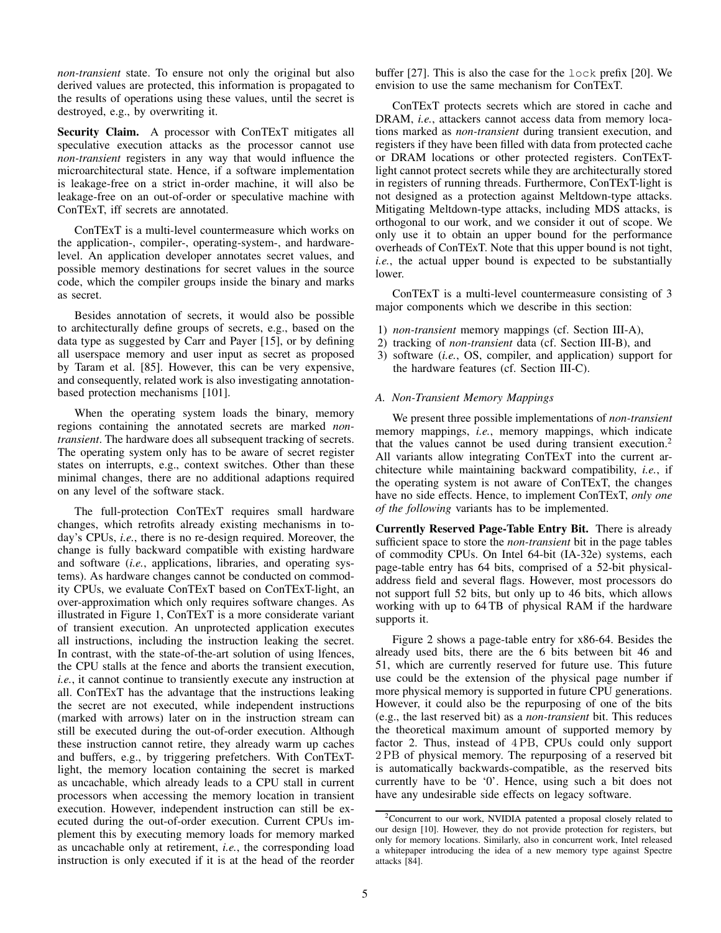*non-transient* state. To ensure not only the original but also derived values are protected, this information is propagated to the results of operations using these values, until the secret is destroyed, e.g., by overwriting it.

Security Claim. A processor with ConTExT mitigates all speculative execution attacks as the processor cannot use *non-transient* registers in any way that would influence the microarchitectural state. Hence, if a software implementation is leakage-free on a strict in-order machine, it will also be leakage-free on an out-of-order or speculative machine with ConTExT, iff secrets are annotated.

ConTExT is a multi-level countermeasure which works on the application-, compiler-, operating-system-, and hardwarelevel. An application developer annotates secret values, and possible memory destinations for secret values in the source code, which the compiler groups inside the binary and marks as secret.

Besides annotation of secrets, it would also be possible to architecturally define groups of secrets, e.g., based on the data type as suggested by Carr and Payer [15], or by defining all userspace memory and user input as secret as proposed by Taram et al. [85]. However, this can be very expensive, and consequently, related work is also investigating annotationbased protection mechanisms [101].

When the operating system loads the binary, memory regions containing the annotated secrets are marked *nontransient*. The hardware does all subsequent tracking of secrets. The operating system only has to be aware of secret register states on interrupts, e.g., context switches. Other than these minimal changes, there are no additional adaptions required on any level of the software stack.

The full-protection ConTExT requires small hardware changes, which retrofits already existing mechanisms in today's CPUs, *i.e.*, there is no re-design required. Moreover, the change is fully backward compatible with existing hardware and software (*i.e.*, applications, libraries, and operating systems). As hardware changes cannot be conducted on commodity CPUs, we evaluate ConTExT based on ConTExT-light, an over-approximation which only requires software changes. As illustrated in Figure 1, ConTExT is a more considerate variant of transient execution. An unprotected application executes all instructions, including the instruction leaking the secret. In contrast, with the state-of-the-art solution of using lfences, the CPU stalls at the fence and aborts the transient execution, *i.e.*, it cannot continue to transiently execute any instruction at all. ConTExT has the advantage that the instructions leaking the secret are not executed, while independent instructions (marked with arrows) later on in the instruction stream can still be executed during the out-of-order execution. Although these instruction cannot retire, they already warm up caches and buffers, e.g., by triggering prefetchers. With ConTExTlight, the memory location containing the secret is marked as uncachable, which already leads to a CPU stall in current processors when accessing the memory location in transient execution. However, independent instruction can still be executed during the out-of-order execution. Current CPUs implement this by executing memory loads for memory marked as uncachable only at retirement, *i.e.*, the corresponding load instruction is only executed if it is at the head of the reorder buffer [27]. This is also the case for the lock prefix [20]. We envision to use the same mechanism for ConTExT.

ConTExT protects secrets which are stored in cache and DRAM, *i.e.*, attackers cannot access data from memory locations marked as *non-transient* during transient execution, and registers if they have been filled with data from protected cache or DRAM locations or other protected registers. ConTExTlight cannot protect secrets while they are architecturally stored in registers of running threads. Furthermore, ConTExT-light is not designed as a protection against Meltdown-type attacks. Mitigating Meltdown-type attacks, including MDS attacks, is orthogonal to our work, and we consider it out of scope. We only use it to obtain an upper bound for the performance overheads of ConTExT. Note that this upper bound is not tight, *i.e.*, the actual upper bound is expected to be substantially lower.

ConTExT is a multi-level countermeasure consisting of 3 major components which we describe in this section:

- 1) *non-transient* memory mappings (cf. Section III-A),
- 2) tracking of *non-transient* data (cf. Section III-B), and
- 3) software (*i.e.*, OS, compiler, and application) support for the hardware features (cf. Section III-C).

## *A. Non-Transient Memory Mappings*

We present three possible implementations of *non-transient* memory mappings, *i.e.*, memory mappings, which indicate that the values cannot be used during transient execution.<sup>2</sup> All variants allow integrating ConTExT into the current architecture while maintaining backward compatibility, *i.e.*, if the operating system is not aware of ConTExT, the changes have no side effects. Hence, to implement ConTExT, *only one of the following* variants has to be implemented.

Currently Reserved Page-Table Entry Bit. There is already sufficient space to store the *non-transient* bit in the page tables of commodity CPUs. On Intel 64-bit (IA-32e) systems, each page-table entry has 64 bits, comprised of a 52-bit physicaladdress field and several flags. However, most processors do not support full 52 bits, but only up to 46 bits, which allows working with up to 64 TB of physical RAM if the hardware supports it.

Figure 2 shows a page-table entry for x86-64. Besides the already used bits, there are the 6 bits between bit 46 and 51, which are currently reserved for future use. This future use could be the extension of the physical page number if more physical memory is supported in future CPU generations. However, it could also be the repurposing of one of the bits (e.g., the last reserved bit) as a *non-transient* bit. This reduces the theoretical maximum amount of supported memory by factor 2. Thus, instead of 4 PB, CPUs could only support 2 PB of physical memory. The repurposing of a reserved bit is automatically backwards-compatible, as the reserved bits currently have to be '0'. Hence, using such a bit does not have any undesirable side effects on legacy software.

<sup>&</sup>lt;sup>2</sup>Concurrent to our work, NVIDIA patented a proposal closely related to our design [10]. However, they do not provide protection for registers, but only for memory locations. Similarly, also in concurrent work, Intel released a whitepaper introducing the idea of a new memory type against Spectre attacks [84].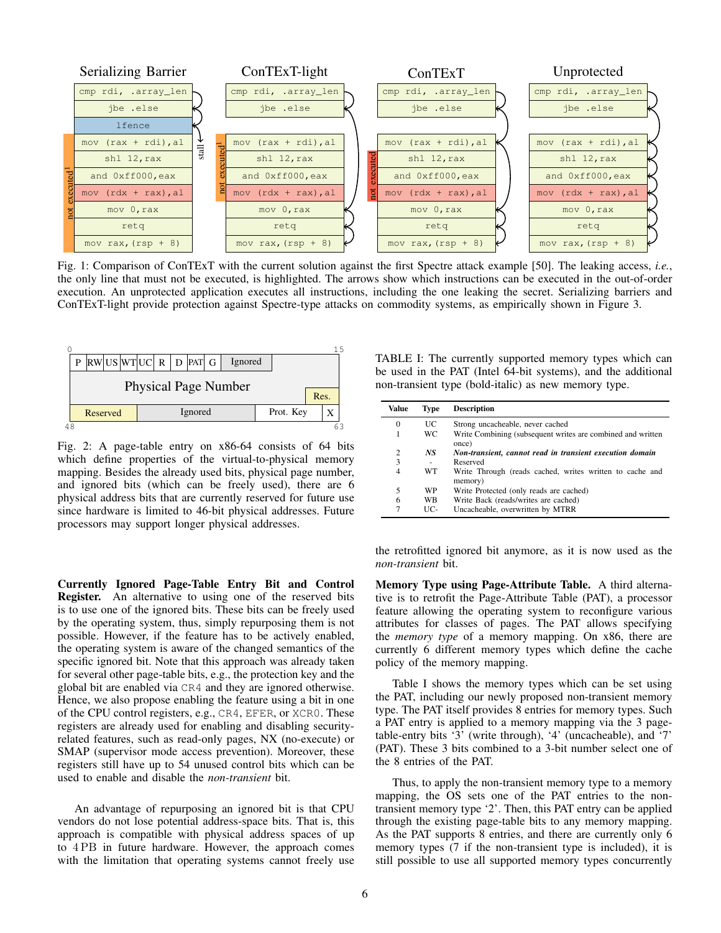

Fig. 1: Comparison of ConTExT with the current solution against the first Spectre attack example [50]. The leaking access, *i.e.*, the only line that must not be executed, is highlighted. The arrows show which instructions can be executed in the out-of-order execution. An unprotected application executes all instructions, including the one leaking the secret. Serializing barriers and ConTExT-light provide protection against Spectre-type attacks on commodity systems, as empirically shown in Figure 3.



Fig. 2: A page-table entry on x86-64 consists of 64 bits which define properties of the virtual-to-physical memory mapping. Besides the already used bits, physical page number, and ignored bits (which can be freely used), there are 6 physical address bits that are currently reserved for future use since hardware is limited to 46-bit physical addresses. Future processors may support longer physical addresses.

Currently Ignored Page-Table Entry Bit and Control Register. An alternative to using one of the reserved bits is to use one of the ignored bits. These bits can be freely used by the operating system, thus, simply repurposing them is not possible. However, if the feature has to be actively enabled, the operating system is aware of the changed semantics of the specific ignored bit. Note that this approach was already taken for several other page-table bits, e.g., the protection key and the global bit are enabled via CR4 and they are ignored otherwise. Hence, we also propose enabling the feature using a bit in one of the CPU control registers, e.g., CR4, EFER, or XCR0. These registers are already used for enabling and disabling securityrelated features, such as read-only pages, NX (no-execute) or SMAP (supervisor mode access prevention). Moreover, these registers still have up to 54 unused control bits which can be used to enable and disable the *non-transient* bit.

An advantage of repurposing an ignored bit is that CPU vendors do not lose potential address-space bits. That is, this approach is compatible with physical address spaces of up to 4 PB in future hardware. However, the approach comes with the limitation that operating systems cannot freely use TABLE I: The currently supported memory types which can be used in the PAT (Intel 64-bit systems), and the additional non-transient type (bold-italic) as new memory type.

| Value          | Type | <b>Description</b>                                                   |  |  |
|----------------|------|----------------------------------------------------------------------|--|--|
| 0              | UC.  | Strong uncacheable, never cached                                     |  |  |
|                | WС   | Write Combining (subsequent writes are combined and written<br>once) |  |  |
| $\overline{2}$ | NS.  | Non-transient, cannot read in transient execution domain             |  |  |
| 3              |      | Reserved                                                             |  |  |
| 4              | WT   | Write Through (reads cached, writes written to cache and<br>memory)  |  |  |
| 5              | WP   | Write Protected (only reads are cached)                              |  |  |
| 6              | WB   | Write Back (reads/writes are cached)                                 |  |  |
| 7              | HC-  | Uncacheable, overwritten by MTRR                                     |  |  |

the retrofitted ignored bit anymore, as it is now used as the *non-transient* bit.

Memory Type using Page-Attribute Table. A third alternative is to retrofit the Page-Attribute Table (PAT), a processor feature allowing the operating system to reconfigure various attributes for classes of pages. The PAT allows specifying the *memory type* of a memory mapping. On x86, there are currently 6 different memory types which define the cache policy of the memory mapping.

Table I shows the memory types which can be set using the PAT, including our newly proposed non-transient memory type. The PAT itself provides 8 entries for memory types. Such a PAT entry is applied to a memory mapping via the 3 pagetable-entry bits '3' (write through), '4' (uncacheable), and '7' (PAT). These 3 bits combined to a 3-bit number select one of the 8 entries of the PAT.

Thus, to apply the non-transient memory type to a memory mapping, the OS sets one of the PAT entries to the nontransient memory type '2'. Then, this PAT entry can be applied through the existing page-table bits to any memory mapping. As the PAT supports 8 entries, and there are currently only 6 memory types (7 if the non-transient type is included), it is still possible to use all supported memory types concurrently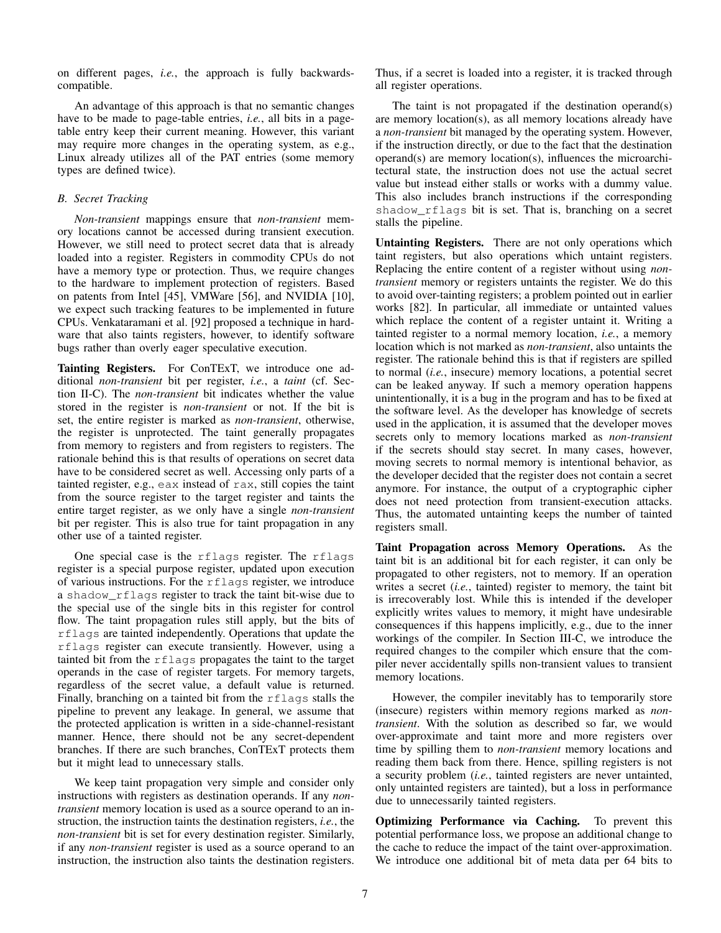on different pages, *i.e.*, the approach is fully backwardscompatible.

An advantage of this approach is that no semantic changes have to be made to page-table entries, *i.e.*, all bits in a pagetable entry keep their current meaning. However, this variant may require more changes in the operating system, as e.g., Linux already utilizes all of the PAT entries (some memory types are defined twice).

## *B. Secret Tracking*

*Non-transient* mappings ensure that *non-transient* memory locations cannot be accessed during transient execution. However, we still need to protect secret data that is already loaded into a register. Registers in commodity CPUs do not have a memory type or protection. Thus, we require changes to the hardware to implement protection of registers. Based on patents from Intel [45], VMWare [56], and NVIDIA [10], we expect such tracking features to be implemented in future CPUs. Venkataramani et al. [92] proposed a technique in hardware that also taints registers, however, to identify software bugs rather than overly eager speculative execution.

Tainting Registers. For ConTExT, we introduce one additional *non-transient* bit per register, *i.e.*, a *taint* (cf. Section II-C). The *non-transient* bit indicates whether the value stored in the register is *non-transient* or not. If the bit is set, the entire register is marked as *non-transient*, otherwise, the register is unprotected. The taint generally propagates from memory to registers and from registers to registers. The rationale behind this is that results of operations on secret data have to be considered secret as well. Accessing only parts of a tainted register, e.g., eax instead of rax, still copies the taint from the source register to the target register and taints the entire target register, as we only have a single *non-transient* bit per register. This is also true for taint propagation in any other use of a tainted register.

One special case is the rflags register. The rflags register is a special purpose register, updated upon execution of various instructions. For the rflags register, we introduce a shadow\_rflags register to track the taint bit-wise due to the special use of the single bits in this register for control flow. The taint propagation rules still apply, but the bits of rflags are tainted independently. Operations that update the rflags register can execute transiently. However, using a tainted bit from the rflags propagates the taint to the target operands in the case of register targets. For memory targets, regardless of the secret value, a default value is returned. Finally, branching on a tainted bit from the rflags stalls the pipeline to prevent any leakage. In general, we assume that the protected application is written in a side-channel-resistant manner. Hence, there should not be any secret-dependent branches. If there are such branches, ConTExT protects them but it might lead to unnecessary stalls.

We keep taint propagation very simple and consider only instructions with registers as destination operands. If any *nontransient* memory location is used as a source operand to an instruction, the instruction taints the destination registers, *i.e.*, the *non-transient* bit is set for every destination register. Similarly, if any *non-transient* register is used as a source operand to an instruction, the instruction also taints the destination registers. Thus, if a secret is loaded into a register, it is tracked through all register operations.

The taint is not propagated if the destination operand(s) are memory location(s), as all memory locations already have a *non-transient* bit managed by the operating system. However, if the instruction directly, or due to the fact that the destination operand(s) are memory location(s), influences the microarchitectural state, the instruction does not use the actual secret value but instead either stalls or works with a dummy value. This also includes branch instructions if the corresponding shadow\_rflags bit is set. That is, branching on a secret stalls the pipeline.

Untainting Registers. There are not only operations which taint registers, but also operations which untaint registers. Replacing the entire content of a register without using *nontransient* memory or registers untaints the register. We do this to avoid over-tainting registers; a problem pointed out in earlier works [82]. In particular, all immediate or untainted values which replace the content of a register untaint it. Writing a tainted register to a normal memory location, *i.e.*, a memory location which is not marked as *non-transient*, also untaints the register. The rationale behind this is that if registers are spilled to normal (*i.e.*, insecure) memory locations, a potential secret can be leaked anyway. If such a memory operation happens unintentionally, it is a bug in the program and has to be fixed at the software level. As the developer has knowledge of secrets used in the application, it is assumed that the developer moves secrets only to memory locations marked as *non-transient* if the secrets should stay secret. In many cases, however, moving secrets to normal memory is intentional behavior, as the developer decided that the register does not contain a secret anymore. For instance, the output of a cryptographic cipher does not need protection from transient-execution attacks. Thus, the automated untainting keeps the number of tainted registers small.

Taint Propagation across Memory Operations. As the taint bit is an additional bit for each register, it can only be propagated to other registers, not to memory. If an operation writes a secret (*i.e.*, tainted) register to memory, the taint bit is irrecoverably lost. While this is intended if the developer explicitly writes values to memory, it might have undesirable consequences if this happens implicitly, e.g., due to the inner workings of the compiler. In Section III-C, we introduce the required changes to the compiler which ensure that the compiler never accidentally spills non-transient values to transient memory locations.

However, the compiler inevitably has to temporarily store (insecure) registers within memory regions marked as *nontransient*. With the solution as described so far, we would over-approximate and taint more and more registers over time by spilling them to *non-transient* memory locations and reading them back from there. Hence, spilling registers is not a security problem (*i.e.*, tainted registers are never untainted, only untainted registers are tainted), but a loss in performance due to unnecessarily tainted registers.

Optimizing Performance via Caching. To prevent this potential performance loss, we propose an additional change to the cache to reduce the impact of the taint over-approximation. We introduce one additional bit of meta data per 64 bits to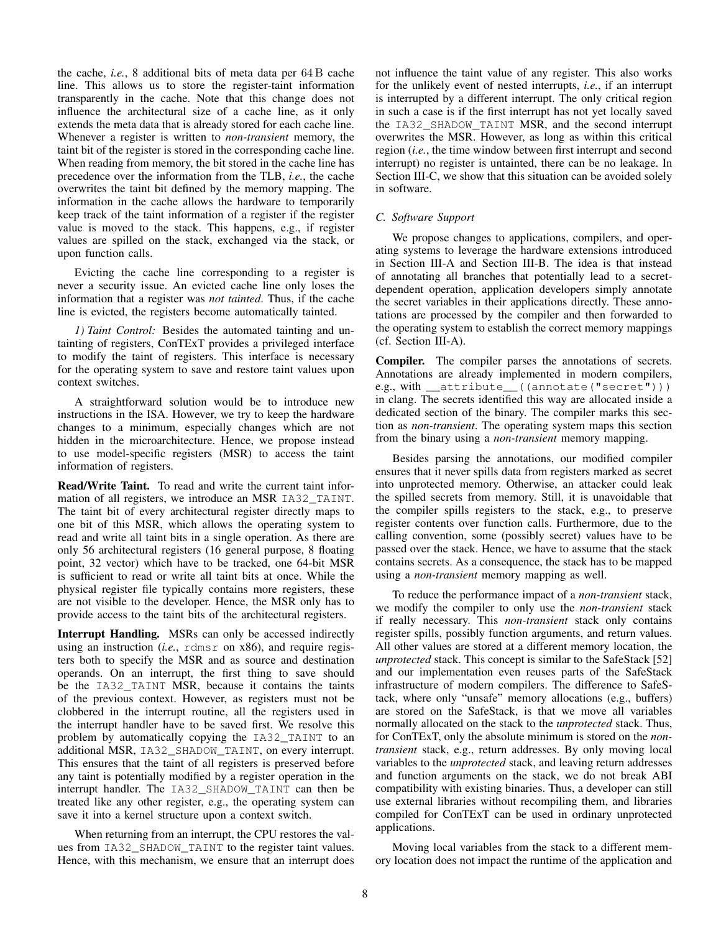the cache, *i.e.*, 8 additional bits of meta data per 64 B cache line. This allows us to store the register-taint information transparently in the cache. Note that this change does not influence the architectural size of a cache line, as it only extends the meta data that is already stored for each cache line. Whenever a register is written to *non-transient* memory, the taint bit of the register is stored in the corresponding cache line. When reading from memory, the bit stored in the cache line has precedence over the information from the TLB, *i.e.*, the cache overwrites the taint bit defined by the memory mapping. The information in the cache allows the hardware to temporarily keep track of the taint information of a register if the register value is moved to the stack. This happens, e.g., if register values are spilled on the stack, exchanged via the stack, or upon function calls.

Evicting the cache line corresponding to a register is never a security issue. An evicted cache line only loses the information that a register was *not tainted*. Thus, if the cache line is evicted, the registers become automatically tainted.

*1) Taint Control:* Besides the automated tainting and untainting of registers, ConTExT provides a privileged interface to modify the taint of registers. This interface is necessary for the operating system to save and restore taint values upon context switches.

A straightforward solution would be to introduce new instructions in the ISA. However, we try to keep the hardware changes to a minimum, especially changes which are not hidden in the microarchitecture. Hence, we propose instead to use model-specific registers (MSR) to access the taint information of registers.

Read/Write Taint. To read and write the current taint information of all registers, we introduce an MSR IA32\_TAINT. The taint bit of every architectural register directly maps to one bit of this MSR, which allows the operating system to read and write all taint bits in a single operation. As there are only 56 architectural registers (16 general purpose, 8 floating point, 32 vector) which have to be tracked, one 64-bit MSR is sufficient to read or write all taint bits at once. While the physical register file typically contains more registers, these are not visible to the developer. Hence, the MSR only has to provide access to the taint bits of the architectural registers.

Interrupt Handling. MSRs can only be accessed indirectly using an instruction (*i.e.*, rdmsr on x86), and require registers both to specify the MSR and as source and destination operands. On an interrupt, the first thing to save should be the IA32\_TAINT MSR, because it contains the taints of the previous context. However, as registers must not be clobbered in the interrupt routine, all the registers used in the interrupt handler have to be saved first. We resolve this problem by automatically copying the IA32\_TAINT to an additional MSR, IA32\_SHADOW\_TAINT, on every interrupt. This ensures that the taint of all registers is preserved before any taint is potentially modified by a register operation in the interrupt handler. The IA32\_SHADOW\_TAINT can then be treated like any other register, e.g., the operating system can save it into a kernel structure upon a context switch.

When returning from an interrupt, the CPU restores the values from IA32\_SHADOW\_TAINT to the register taint values. Hence, with this mechanism, we ensure that an interrupt does not influence the taint value of any register. This also works for the unlikely event of nested interrupts, *i.e.*, if an interrupt is interrupted by a different interrupt. The only critical region in such a case is if the first interrupt has not yet locally saved the IA32\_SHADOW\_TAINT MSR, and the second interrupt overwrites the MSR. However, as long as within this critical region (*i.e.*, the time window between first interrupt and second interrupt) no register is untainted, there can be no leakage. In Section III-C, we show that this situation can be avoided solely in software.

# *C. Software Support*

We propose changes to applications, compilers, and operating systems to leverage the hardware extensions introduced in Section III-A and Section III-B. The idea is that instead of annotating all branches that potentially lead to a secretdependent operation, application developers simply annotate the secret variables in their applications directly. These annotations are processed by the compiler and then forwarded to the operating system to establish the correct memory mappings (cf. Section III-A).

Compiler. The compiler parses the annotations of secrets. Annotations are already implemented in modern compilers, e.g., with \_\_attribute\_((annotate("secret"))) in clang. The secrets identified this way are allocated inside a dedicated section of the binary. The compiler marks this section as *non-transient*. The operating system maps this section from the binary using a *non-transient* memory mapping.

Besides parsing the annotations, our modified compiler ensures that it never spills data from registers marked as secret into unprotected memory. Otherwise, an attacker could leak the spilled secrets from memory. Still, it is unavoidable that the compiler spills registers to the stack, e.g., to preserve register contents over function calls. Furthermore, due to the calling convention, some (possibly secret) values have to be passed over the stack. Hence, we have to assume that the stack contains secrets. As a consequence, the stack has to be mapped using a *non-transient* memory mapping as well.

To reduce the performance impact of a *non-transient* stack, we modify the compiler to only use the *non-transient* stack if really necessary. This *non-transient* stack only contains register spills, possibly function arguments, and return values. All other values are stored at a different memory location, the *unprotected* stack. This concept is similar to the SafeStack [52] and our implementation even reuses parts of the SafeStack infrastructure of modern compilers. The difference to SafeStack, where only "unsafe" memory allocations (e.g., buffers) are stored on the SafeStack, is that we move all variables normally allocated on the stack to the *unprotected* stack. Thus, for ConTExT, only the absolute minimum is stored on the *nontransient* stack, e.g., return addresses. By only moving local variables to the *unprotected* stack, and leaving return addresses and function arguments on the stack, we do not break ABI compatibility with existing binaries. Thus, a developer can still use external libraries without recompiling them, and libraries compiled for ConTExT can be used in ordinary unprotected applications.

Moving local variables from the stack to a different memory location does not impact the runtime of the application and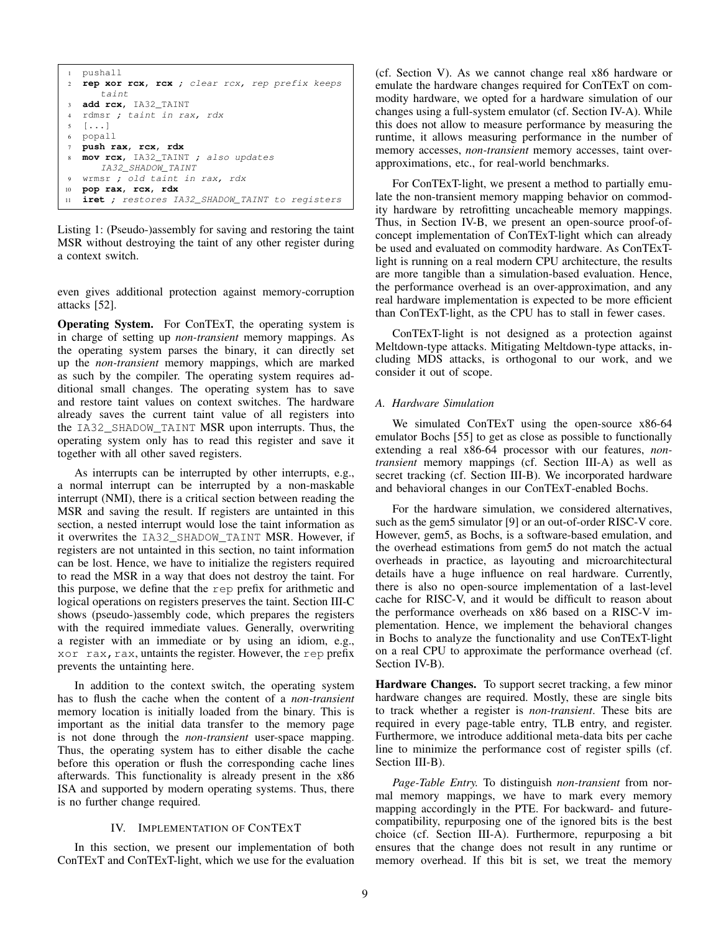```
1 pushall
2 rep xor rcx, rcx ; clear rcx, rep prefix keeps
      taint
3 add rcx, IA32_TAINT
  rdmsr ; taint in rax, rdx
5 [...]
6 popall
7 push rax, rcx, rdx
8 mov rcx, IA32_TAINT ; also updates
      IA32_SHADOW_TAINT
9 wrmsr ; old taint in rax, rdx
10 pop rax, rcx, rdx
11 iret ; restores IA32_SHADOW_TAINT to registers
```
Listing 1: (Pseudo-)assembly for saving and restoring the taint MSR without destroying the taint of any other register during a context switch.

even gives additional protection against memory-corruption attacks [52].

Operating System. For ConTExT, the operating system is in charge of setting up *non-transient* memory mappings. As the operating system parses the binary, it can directly set up the *non-transient* memory mappings, which are marked as such by the compiler. The operating system requires additional small changes. The operating system has to save and restore taint values on context switches. The hardware already saves the current taint value of all registers into the IA32\_SHADOW\_TAINT MSR upon interrupts. Thus, the operating system only has to read this register and save it together with all other saved registers.

As interrupts can be interrupted by other interrupts, e.g., a normal interrupt can be interrupted by a non-maskable interrupt (NMI), there is a critical section between reading the MSR and saving the result. If registers are untainted in this section, a nested interrupt would lose the taint information as it overwrites the IA32\_SHADOW\_TAINT MSR. However, if registers are not untainted in this section, no taint information can be lost. Hence, we have to initialize the registers required to read the MSR in a way that does not destroy the taint. For this purpose, we define that the rep prefix for arithmetic and logical operations on registers preserves the taint. Section III-C shows (pseudo-)assembly code, which prepares the registers with the required immediate values. Generally, overwriting a register with an immediate or by using an idiom, e.g., xor rax, rax, untaints the register. However, the rep prefix prevents the untainting here.

In addition to the context switch, the operating system has to flush the cache when the content of a *non-transient* memory location is initially loaded from the binary. This is important as the initial data transfer to the memory page is not done through the *non-transient* user-space mapping. Thus, the operating system has to either disable the cache before this operation or flush the corresponding cache lines afterwards. This functionality is already present in the x86 ISA and supported by modern operating systems. Thus, there is no further change required.

#### IV. IMPLEMENTATION OF CONTEXT

In this section, we present our implementation of both ConTExT and ConTExT-light, which we use for the evaluation (cf. Section V). As we cannot change real x86 hardware or emulate the hardware changes required for ConTExT on commodity hardware, we opted for a hardware simulation of our changes using a full-system emulator (cf. Section IV-A). While this does not allow to measure performance by measuring the runtime, it allows measuring performance in the number of memory accesses, *non-transient* memory accesses, taint overapproximations, etc., for real-world benchmarks.

For ConTExT-light, we present a method to partially emulate the non-transient memory mapping behavior on commodity hardware by retrofitting uncacheable memory mappings. Thus, in Section IV-B, we present an open-source proof-ofconcept implementation of ConTExT-light which can already be used and evaluated on commodity hardware. As ConTExTlight is running on a real modern CPU architecture, the results are more tangible than a simulation-based evaluation. Hence, the performance overhead is an over-approximation, and any real hardware implementation is expected to be more efficient than ConTExT-light, as the CPU has to stall in fewer cases.

ConTExT-light is not designed as a protection against Meltdown-type attacks. Mitigating Meltdown-type attacks, including MDS attacks, is orthogonal to our work, and we consider it out of scope.

## *A. Hardware Simulation*

We simulated ConTExT using the open-source x86-64 emulator Bochs [55] to get as close as possible to functionally extending a real x86-64 processor with our features, *nontransient* memory mappings (cf. Section III-A) as well as secret tracking (cf. Section III-B). We incorporated hardware and behavioral changes in our ConTExT-enabled Bochs.

For the hardware simulation, we considered alternatives, such as the gem5 simulator [9] or an out-of-order RISC-V core. However, gem5, as Bochs, is a software-based emulation, and the overhead estimations from gem5 do not match the actual overheads in practice, as layouting and microarchitectural details have a huge influence on real hardware. Currently, there is also no open-source implementation of a last-level cache for RISC-V, and it would be difficult to reason about the performance overheads on x86 based on a RISC-V implementation. Hence, we implement the behavioral changes in Bochs to analyze the functionality and use ConTExT-light on a real CPU to approximate the performance overhead (cf. Section IV-B).

Hardware Changes. To support secret tracking, a few minor hardware changes are required. Mostly, these are single bits to track whether a register is *non-transient*. These bits are required in every page-table entry, TLB entry, and register. Furthermore, we introduce additional meta-data bits per cache line to minimize the performance cost of register spills (cf. Section III-B).

*Page-Table Entry.* To distinguish *non-transient* from normal memory mappings, we have to mark every memory mapping accordingly in the PTE. For backward- and futurecompatibility, repurposing one of the ignored bits is the best choice (cf. Section III-A). Furthermore, repurposing a bit ensures that the change does not result in any runtime or memory overhead. If this bit is set, we treat the memory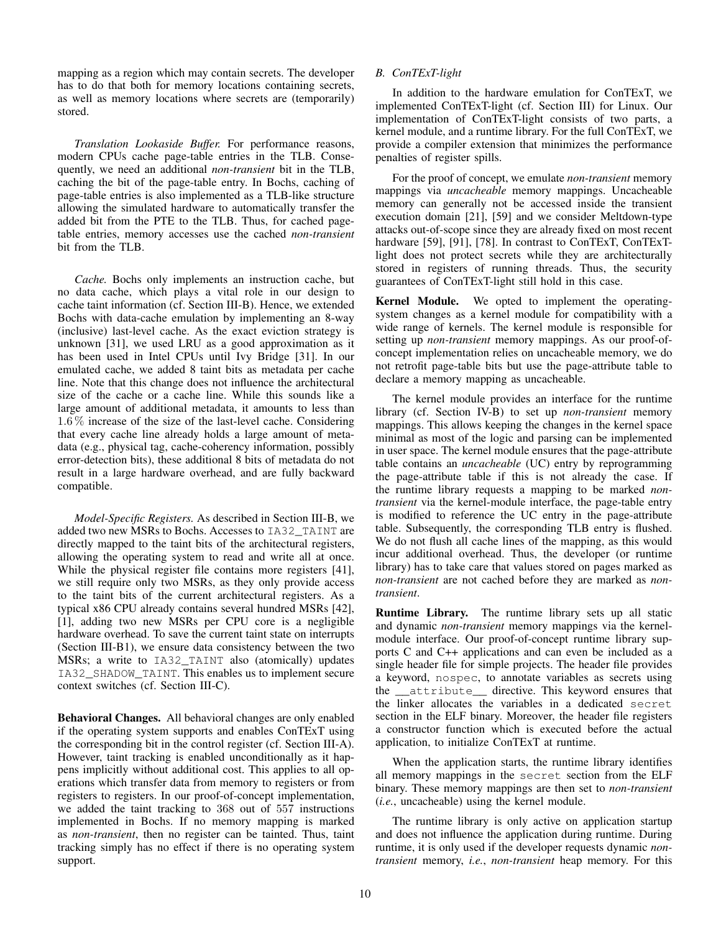mapping as a region which may contain secrets. The developer has to do that both for memory locations containing secrets, as well as memory locations where secrets are (temporarily) stored.

*Translation Lookaside Buffer.* For performance reasons, modern CPUs cache page-table entries in the TLB. Consequently, we need an additional *non-transient* bit in the TLB, caching the bit of the page-table entry. In Bochs, caching of page-table entries is also implemented as a TLB-like structure allowing the simulated hardware to automatically transfer the added bit from the PTE to the TLB. Thus, for cached pagetable entries, memory accesses use the cached *non-transient* bit from the TLB.

*Cache.* Bochs only implements an instruction cache, but no data cache, which plays a vital role in our design to cache taint information (cf. Section III-B). Hence, we extended Bochs with data-cache emulation by implementing an 8-way (inclusive) last-level cache. As the exact eviction strategy is unknown [31], we used LRU as a good approximation as it has been used in Intel CPUs until Ivy Bridge [31]. In our emulated cache, we added 8 taint bits as metadata per cache line. Note that this change does not influence the architectural size of the cache or a cache line. While this sounds like a large amount of additional metadata, it amounts to less than 1.6 % increase of the size of the last-level cache. Considering that every cache line already holds a large amount of metadata (e.g., physical tag, cache-coherency information, possibly error-detection bits), these additional 8 bits of metadata do not result in a large hardware overhead, and are fully backward compatible.

*Model-Specific Registers.* As described in Section III-B, we added two new MSRs to Bochs. Accesses to IA32\_TAINT are directly mapped to the taint bits of the architectural registers, allowing the operating system to read and write all at once. While the physical register file contains more registers [41], we still require only two MSRs, as they only provide access to the taint bits of the current architectural registers. As a typical x86 CPU already contains several hundred MSRs [42], [1], adding two new MSRs per CPU core is a negligible hardware overhead. To save the current taint state on interrupts (Section III-B1), we ensure data consistency between the two MSRs; a write to IA32\_TAINT also (atomically) updates IA32\_SHADOW\_TAINT. This enables us to implement secure context switches (cf. Section III-C).

Behavioral Changes. All behavioral changes are only enabled if the operating system supports and enables ConTExT using the corresponding bit in the control register (cf. Section III-A). However, taint tracking is enabled unconditionally as it happens implicitly without additional cost. This applies to all operations which transfer data from memory to registers or from registers to registers. In our proof-of-concept implementation, we added the taint tracking to 368 out of 557 instructions implemented in Bochs. If no memory mapping is marked as *non-transient*, then no register can be tainted. Thus, taint tracking simply has no effect if there is no operating system support.

# *B. ConTExT-light*

In addition to the hardware emulation for ConTExT, we implemented ConTExT-light (cf. Section III) for Linux. Our implementation of ConTExT-light consists of two parts, a kernel module, and a runtime library. For the full ConTExT, we provide a compiler extension that minimizes the performance penalties of register spills.

For the proof of concept, we emulate *non-transient* memory mappings via *uncacheable* memory mappings. Uncacheable memory can generally not be accessed inside the transient execution domain [21], [59] and we consider Meltdown-type attacks out-of-scope since they are already fixed on most recent hardware [59], [91], [78]. In contrast to ConTExT, ConTExTlight does not protect secrets while they are architecturally stored in registers of running threads. Thus, the security guarantees of ConTExT-light still hold in this case.

Kernel Module. We opted to implement the operatingsystem changes as a kernel module for compatibility with a wide range of kernels. The kernel module is responsible for setting up *non-transient* memory mappings. As our proof-ofconcept implementation relies on uncacheable memory, we do not retrofit page-table bits but use the page-attribute table to declare a memory mapping as uncacheable.

The kernel module provides an interface for the runtime library (cf. Section IV-B) to set up *non-transient* memory mappings. This allows keeping the changes in the kernel space minimal as most of the logic and parsing can be implemented in user space. The kernel module ensures that the page-attribute table contains an *uncacheable* (UC) entry by reprogramming the page-attribute table if this is not already the case. If the runtime library requests a mapping to be marked *nontransient* via the kernel-module interface, the page-table entry is modified to reference the UC entry in the page-attribute table. Subsequently, the corresponding TLB entry is flushed. We do not flush all cache lines of the mapping, as this would incur additional overhead. Thus, the developer (or runtime library) has to take care that values stored on pages marked as *non-transient* are not cached before they are marked as *nontransient*.

Runtime Library. The runtime library sets up all static and dynamic *non-transient* memory mappings via the kernelmodule interface. Our proof-of-concept runtime library supports C and C++ applications and can even be included as a single header file for simple projects. The header file provides a keyword, nospec, to annotate variables as secrets using the \_\_attribute\_\_ directive. This keyword ensures that the linker allocates the variables in a dedicated secret section in the ELF binary. Moreover, the header file registers a constructor function which is executed before the actual application, to initialize ConTExT at runtime.

When the application starts, the runtime library identifies all memory mappings in the secret section from the ELF binary. These memory mappings are then set to *non-transient* (*i.e.*, uncacheable) using the kernel module.

The runtime library is only active on application startup and does not influence the application during runtime. During runtime, it is only used if the developer requests dynamic *nontransient* memory, *i.e.*, *non-transient* heap memory. For this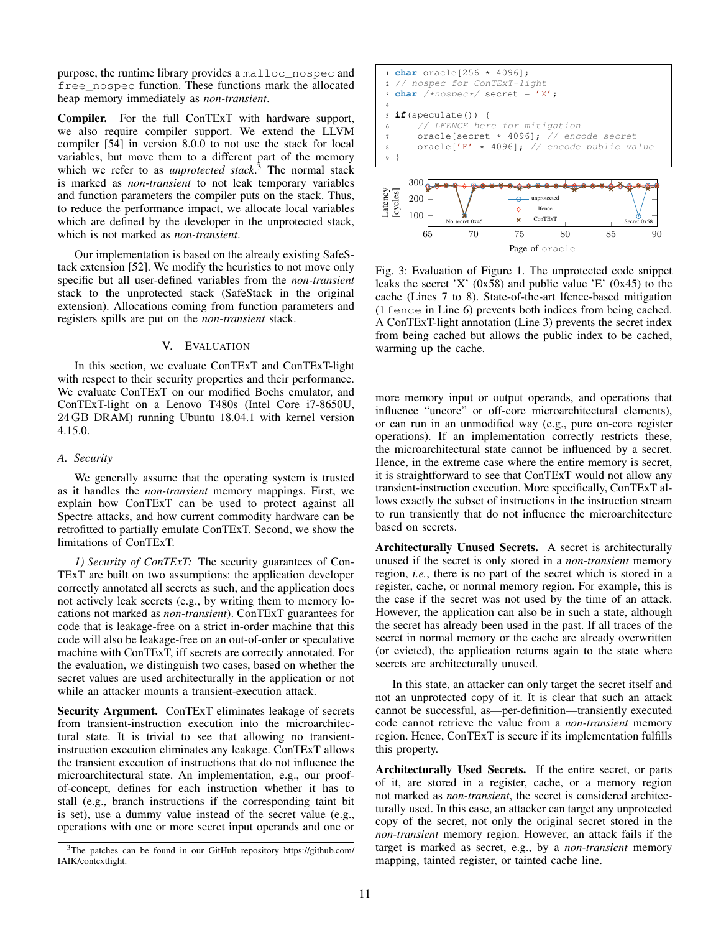purpose, the runtime library provides a malloc\_nospec and free nospec function. These functions mark the allocated heap memory immediately as *non-transient*.

Compiler. For the full ConTExT with hardware support, we also require compiler support. We extend the LLVM compiler [54] in version 8.0.0 to not use the stack for local variables, but move them to a different part of the memory which we refer to as *unprotected stack*. <sup>3</sup> The normal stack is marked as *non-transient* to not leak temporary variables and function parameters the compiler puts on the stack. Thus, to reduce the performance impact, we allocate local variables which are defined by the developer in the unprotected stack, which is not marked as *non-transient*.

Our implementation is based on the already existing SafeStack extension [52]. We modify the heuristics to not move only specific but all user-defined variables from the *non-transient* stack to the unprotected stack (SafeStack in the original extension). Allocations coming from function parameters and registers spills are put on the *non-transient* stack.

#### V. EVALUATION

In this section, we evaluate ConTExT and ConTExT-light with respect to their security properties and their performance. We evaluate ConTExT on our modified Bochs emulator, and ConTExT-light on a Lenovo T480s (Intel Core i7-8650U, 24 GB DRAM) running Ubuntu 18.04.1 with kernel version 4.15.0.

## *A. Security*

We generally assume that the operating system is trusted as it handles the *non-transient* memory mappings. First, we explain how ConTExT can be used to protect against all Spectre attacks, and how current commodity hardware can be retrofitted to partially emulate ConTExT. Second, we show the limitations of ConTExT.

*1) Security of ConTExT:* The security guarantees of Con-TExT are built on two assumptions: the application developer correctly annotated all secrets as such, and the application does not actively leak secrets (e.g., by writing them to memory locations not marked as *non-transient*). ConTExT guarantees for code that is leakage-free on a strict in-order machine that this code will also be leakage-free on an out-of-order or speculative machine with ConTExT, iff secrets are correctly annotated. For the evaluation, we distinguish two cases, based on whether the secret values are used architecturally in the application or not while an attacker mounts a transient-execution attack.

Security Argument. ConTExT eliminates leakage of secrets from transient-instruction execution into the microarchitectural state. It is trivial to see that allowing no transientinstruction execution eliminates any leakage. ConTExT allows the transient execution of instructions that do not influence the microarchitectural state. An implementation, e.g., our proofof-concept, defines for each instruction whether it has to stall (e.g., branch instructions if the corresponding taint bit is set), use a dummy value instead of the secret value (e.g., operations with one or more secret input operands and one or



Fig. 3: Evaluation of Figure 1. The unprotected code snippet leaks the secret 'X'  $(0x58)$  and public value 'E'  $(0x45)$  to the cache (Lines 7 to 8). State-of-the-art lfence-based mitigation (lfence in Line 6) prevents both indices from being cached. A ConTExT-light annotation (Line 3) prevents the secret index from being cached but allows the public index to be cached, warming up the cache.

65 70 75 80 85 90

Page of oracle

more memory input or output operands, and operations that influence "uncore" or off-core microarchitectural elements), or can run in an unmodified way (e.g., pure on-core register operations). If an implementation correctly restricts these, the microarchitectural state cannot be influenced by a secret. Hence, in the extreme case where the entire memory is secret, it is straightforward to see that ConTExT would not allow any transient-instruction execution. More specifically, ConTExT allows exactly the subset of instructions in the instruction stream to run transiently that do not influence the microarchitecture based on secrets.

Architecturally Unused Secrets. A secret is architecturally unused if the secret is only stored in a *non-transient* memory region, *i.e.*, there is no part of the secret which is stored in a register, cache, or normal memory region. For example, this is the case if the secret was not used by the time of an attack. However, the application can also be in such a state, although the secret has already been used in the past. If all traces of the secret in normal memory or the cache are already overwritten (or evicted), the application returns again to the state where secrets are architecturally unused.

In this state, an attacker can only target the secret itself and not an unprotected copy of it. It is clear that such an attack cannot be successful, as—per-definition—transiently executed code cannot retrieve the value from a *non-transient* memory region. Hence, ConTExT is secure if its implementation fulfills this property.

Architecturally Used Secrets. If the entire secret, or parts of it, are stored in a register, cache, or a memory region not marked as *non-transient*, the secret is considered architecturally used. In this case, an attacker can target any unprotected copy of the secret, not only the original secret stored in the *non-transient* memory region. However, an attack fails if the target is marked as secret, e.g., by a *non-transient* memory mapping, tainted register, or tainted cache line.

<sup>3</sup>The patches can be found in our GitHub repository https://github.com/ IAIK/contextlight.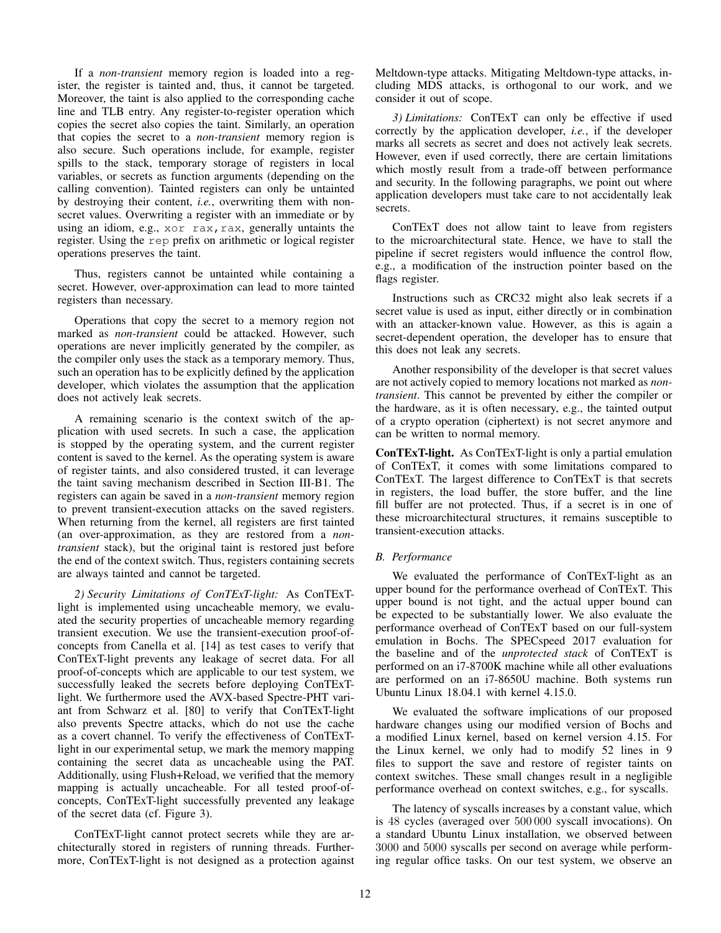If a *non-transient* memory region is loaded into a register, the register is tainted and, thus, it cannot be targeted. Moreover, the taint is also applied to the corresponding cache line and TLB entry. Any register-to-register operation which copies the secret also copies the taint. Similarly, an operation that copies the secret to a *non-transient* memory region is also secure. Such operations include, for example, register spills to the stack, temporary storage of registers in local variables, or secrets as function arguments (depending on the calling convention). Tainted registers can only be untainted by destroying their content, *i.e.*, overwriting them with nonsecret values. Overwriting a register with an immediate or by using an idiom, e.g., xor rax, rax, generally untaints the register. Using the rep prefix on arithmetic or logical register operations preserves the taint.

Thus, registers cannot be untainted while containing a secret. However, over-approximation can lead to more tainted registers than necessary.

Operations that copy the secret to a memory region not marked as *non-transient* could be attacked. However, such operations are never implicitly generated by the compiler, as the compiler only uses the stack as a temporary memory. Thus, such an operation has to be explicitly defined by the application developer, which violates the assumption that the application does not actively leak secrets.

A remaining scenario is the context switch of the application with used secrets. In such a case, the application is stopped by the operating system, and the current register content is saved to the kernel. As the operating system is aware of register taints, and also considered trusted, it can leverage the taint saving mechanism described in Section III-B1. The registers can again be saved in a *non-transient* memory region to prevent transient-execution attacks on the saved registers. When returning from the kernel, all registers are first tainted (an over-approximation, as they are restored from a *nontransient* stack), but the original taint is restored just before the end of the context switch. Thus, registers containing secrets are always tainted and cannot be targeted.

*2) Security Limitations of ConTExT-light:* As ConTExTlight is implemented using uncacheable memory, we evaluated the security properties of uncacheable memory regarding transient execution. We use the transient-execution proof-ofconcepts from Canella et al. [14] as test cases to verify that ConTExT-light prevents any leakage of secret data. For all proof-of-concepts which are applicable to our test system, we successfully leaked the secrets before deploying ConTExTlight. We furthermore used the AVX-based Spectre-PHT variant from Schwarz et al. [80] to verify that ConTExT-light also prevents Spectre attacks, which do not use the cache as a covert channel. To verify the effectiveness of ConTExTlight in our experimental setup, we mark the memory mapping containing the secret data as uncacheable using the PAT. Additionally, using Flush+Reload, we verified that the memory mapping is actually uncacheable. For all tested proof-ofconcepts, ConTExT-light successfully prevented any leakage of the secret data (cf. Figure 3).

ConTExT-light cannot protect secrets while they are architecturally stored in registers of running threads. Furthermore, ConTExT-light is not designed as a protection against Meltdown-type attacks. Mitigating Meltdown-type attacks, including MDS attacks, is orthogonal to our work, and we consider it out of scope.

*3) Limitations:* ConTExT can only be effective if used correctly by the application developer, *i.e.*, if the developer marks all secrets as secret and does not actively leak secrets. However, even if used correctly, there are certain limitations which mostly result from a trade-off between performance and security. In the following paragraphs, we point out where application developers must take care to not accidentally leak secrets.

ConTExT does not allow taint to leave from registers to the microarchitectural state. Hence, we have to stall the pipeline if secret registers would influence the control flow, e.g., a modification of the instruction pointer based on the flags register.

Instructions such as CRC32 might also leak secrets if a secret value is used as input, either directly or in combination with an attacker-known value. However, as this is again a secret-dependent operation, the developer has to ensure that this does not leak any secrets.

Another responsibility of the developer is that secret values are not actively copied to memory locations not marked as *nontransient*. This cannot be prevented by either the compiler or the hardware, as it is often necessary, e.g., the tainted output of a crypto operation (ciphertext) is not secret anymore and can be written to normal memory.

ConTExT-light. As ConTExT-light is only a partial emulation of ConTExT, it comes with some limitations compared to ConTExT. The largest difference to ConTExT is that secrets in registers, the load buffer, the store buffer, and the line fill buffer are not protected. Thus, if a secret is in one of these microarchitectural structures, it remains susceptible to transient-execution attacks.

# *B. Performance*

We evaluated the performance of ConTExT-light as an upper bound for the performance overhead of ConTExT. This upper bound is not tight, and the actual upper bound can be expected to be substantially lower. We also evaluate the performance overhead of ConTExT based on our full-system emulation in Bochs. The SPECspeed 2017 evaluation for the baseline and of the *unprotected stack* of ConTExT is performed on an i7-8700K machine while all other evaluations are performed on an i7-8650U machine. Both systems run Ubuntu Linux 18.04.1 with kernel 4.15.0.

We evaluated the software implications of our proposed hardware changes using our modified version of Bochs and a modified Linux kernel, based on kernel version 4.15. For the Linux kernel, we only had to modify 52 lines in 9 files to support the save and restore of register taints on context switches. These small changes result in a negligible performance overhead on context switches, e.g., for syscalls.

The latency of syscalls increases by a constant value, which is 48 cycles (averaged over 500 000 syscall invocations). On a standard Ubuntu Linux installation, we observed between 3000 and 5000 syscalls per second on average while performing regular office tasks. On our test system, we observe an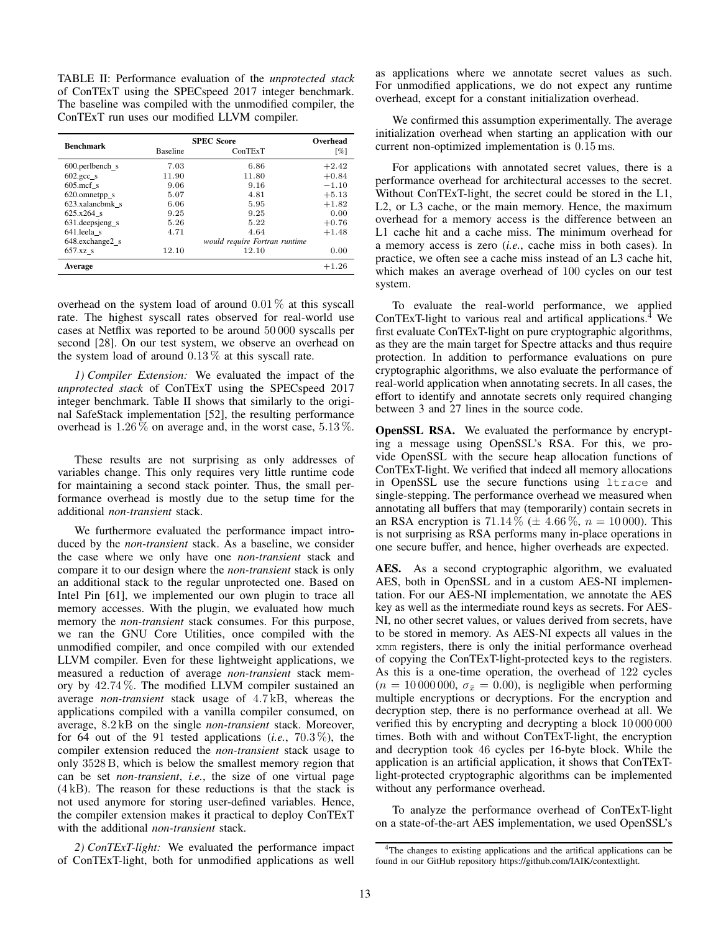TABLE II: Performance evaluation of the *unprotected stack* of ConTExT using the SPECspeed 2017 integer benchmark. The baseline was compiled with the unmodified compiler, the ConTExT run uses our modified LLVM compiler.

| <b>Benchmark</b>    |                 | Overhead                      |         |
|---------------------|-----------------|-------------------------------|---------|
|                     | <b>Baseline</b> | ConTeXT                       | [%]     |
| 600.perlbench s     | 7.03            | 6.86                          | $+2.42$ |
| $602.\text{gcc s}$  | 11.90           | 11.80                         | $+0.84$ |
| $605 \text{.mcf}$ s | 9.06            | 9.16                          | $-1.10$ |
| 620.omnetpp s       | 5.07            | 4.81                          | $+5.13$ |
| 623.xalancbmk s     | 6.06            | 5.95                          | $+1.82$ |
| $625.x264$ s        | 9.25            | 9.25                          | 0.00    |
| $631.$ deepsjeng s  | 5.26            | 5.22                          | $+0.76$ |
| 641.leela s         | 4.71            | 4.64                          | $+1.48$ |
| 648.exchange2 s     |                 | would require Fortran runtime |         |
| $657.xz$ s          | 12.10           | 12.10                         | 0.00    |
| Average             |                 |                               | $+1.26$ |

overhead on the system load of around 0.01 % at this syscall rate. The highest syscall rates observed for real-world use cases at Netflix was reported to be around 50 000 syscalls per second [28]. On our test system, we observe an overhead on the system load of around  $0.13\%$  at this syscall rate.

*1) Compiler Extension:* We evaluated the impact of the *unprotected stack* of ConTExT using the SPECspeed 2017 integer benchmark. Table II shows that similarly to the original SafeStack implementation [52], the resulting performance overhead is  $1.26\%$  on average and, in the worst case,  $5.13\%$ .

These results are not surprising as only addresses of variables change. This only requires very little runtime code for maintaining a second stack pointer. Thus, the small performance overhead is mostly due to the setup time for the additional *non-transient* stack.

We furthermore evaluated the performance impact introduced by the *non-transient* stack. As a baseline, we consider the case where we only have one *non-transient* stack and compare it to our design where the *non-transient* stack is only an additional stack to the regular unprotected one. Based on Intel Pin [61], we implemented our own plugin to trace all memory accesses. With the plugin, we evaluated how much memory the *non-transient* stack consumes. For this purpose, we ran the GNU Core Utilities, once compiled with the unmodified compiler, and once compiled with our extended LLVM compiler. Even for these lightweight applications, we measured a reduction of average *non-transient* stack memory by 42.74 %. The modified LLVM compiler sustained an average *non-transient* stack usage of 4.7 kB, whereas the applications compiled with a vanilla compiler consumed, on average, 8.2 kB on the single *non-transient* stack. Moreover, for 64 out of the 91 tested applications (*i.e.*, 70.3 %), the compiler extension reduced the *non-transient* stack usage to only 3528 B, which is below the smallest memory region that can be set *non-transient*, *i.e.*, the size of one virtual page  $(4kB)$ . The reason for these reductions is that the stack is not used anymore for storing user-defined variables. Hence, the compiler extension makes it practical to deploy ConTExT with the additional *non-transient* stack.

*2) ConTExT-light:* We evaluated the performance impact of ConTExT-light, both for unmodified applications as well as applications where we annotate secret values as such. For unmodified applications, we do not expect any runtime overhead, except for a constant initialization overhead.

We confirmed this assumption experimentally. The average initialization overhead when starting an application with our current non-optimized implementation is 0.15 ms.

For applications with annotated secret values, there is a performance overhead for architectural accesses to the secret. Without ConTExT-light, the secret could be stored in the L1, L2, or L3 cache, or the main memory. Hence, the maximum overhead for a memory access is the difference between an L1 cache hit and a cache miss. The minimum overhead for a memory access is zero (*i.e.*, cache miss in both cases). In practice, we often see a cache miss instead of an L3 cache hit, which makes an average overhead of 100 cycles on our test system.

To evaluate the real-world performance, we applied ConTExT-light to various real and artifical applications.<sup>4</sup> We first evaluate ConTExT-light on pure cryptographic algorithms, as they are the main target for Spectre attacks and thus require protection. In addition to performance evaluations on pure cryptographic algorithms, we also evaluate the performance of real-world application when annotating secrets. In all cases, the effort to identify and annotate secrets only required changing between 3 and 27 lines in the source code.

OpenSSL RSA. We evaluated the performance by encrypting a message using OpenSSL's RSA. For this, we provide OpenSSL with the secure heap allocation functions of ConTExT-light. We verified that indeed all memory allocations in OpenSSL use the secure functions using ltrace and single-stepping. The performance overhead we measured when annotating all buffers that may (temporarily) contain secrets in an RSA encryption is  $71.14\%$  ( $\pm$  4.66%,  $n = 10000$ ). This is not surprising as RSA performs many in-place operations in one secure buffer, and hence, higher overheads are expected.

AES. As a second cryptographic algorithm, we evaluated AES, both in OpenSSL and in a custom AES-NI implementation. For our AES-NI implementation, we annotate the AES key as well as the intermediate round keys as secrets. For AES-NI, no other secret values, or values derived from secrets, have to be stored in memory. As AES-NI expects all values in the xmm registers, there is only the initial performance overhead of copying the ConTExT-light-protected keys to the registers. As this is a one-time operation, the overhead of 122 cycles  $(n = 10000000, \sigma_{\bar{x}} = 0.00)$ , is negligible when performing multiple encryptions or decryptions. For the encryption and decryption step, there is no performance overhead at all. We verified this by encrypting and decrypting a block 10 000 000 times. Both with and without ConTExT-light, the encryption and decryption took 46 cycles per 16-byte block. While the application is an artificial application, it shows that ConTExTlight-protected cryptographic algorithms can be implemented without any performance overhead.

To analyze the performance overhead of ConTExT-light on a state-of-the-art AES implementation, we used OpenSSL's

<sup>&</sup>lt;sup>4</sup>The changes to existing applications and the artifical applications can be found in our GitHub repository https://github.com/IAIK/contextlight.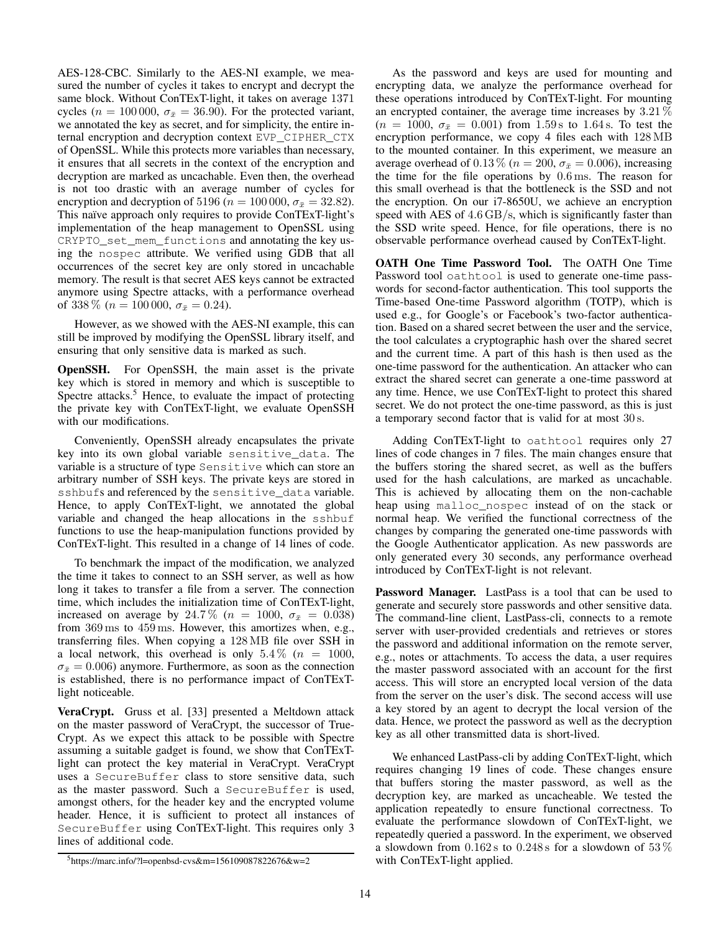AES-128-CBC. Similarly to the AES-NI example, we measured the number of cycles it takes to encrypt and decrypt the same block. Without ConTExT-light, it takes on average 1371 cycles ( $n = 100000$ ,  $\sigma_{\bar{x}} = 36.90$ ). For the protected variant, we annotated the key as secret, and for simplicity, the entire internal encryption and decryption context EVP\_CIPHER\_CTX of OpenSSL. While this protects more variables than necessary, it ensures that all secrets in the context of the encryption and decryption are marked as uncachable. Even then, the overhead is not too drastic with an average number of cycles for encryption and decryption of 5196 ( $n = 100000$ ,  $\sigma_{\bar{x}} = 32.82$ ). This naïve approach only requires to provide ConTExT-light's implementation of the heap management to OpenSSL using CRYPTO\_set\_mem\_functions and annotating the key using the nospec attribute. We verified using GDB that all occurrences of the secret key are only stored in uncachable memory. The result is that secret AES keys cannot be extracted anymore using Spectre attacks, with a performance overhead of 338 % ( $n = 100000$ ,  $\sigma_{\bar{x}} = 0.24$ ).

However, as we showed with the AES-NI example, this can still be improved by modifying the OpenSSL library itself, and ensuring that only sensitive data is marked as such.

OpenSSH. For OpenSSH, the main asset is the private key which is stored in memory and which is susceptible to Spectre attacks.<sup>5</sup> Hence, to evaluate the impact of protecting the private key with ConTExT-light, we evaluate OpenSSH with our modifications.

Conveniently, OpenSSH already encapsulates the private key into its own global variable sensitive\_data. The variable is a structure of type Sensitive which can store an arbitrary number of SSH keys. The private keys are stored in sshbufs and referenced by the sensitive\_data variable. Hence, to apply ConTExT-light, we annotated the global variable and changed the heap allocations in the sshbuf functions to use the heap-manipulation functions provided by ConTExT-light. This resulted in a change of 14 lines of code.

To benchmark the impact of the modification, we analyzed the time it takes to connect to an SSH server, as well as how long it takes to transfer a file from a server. The connection time, which includes the initialization time of ConTExT-light, increased on average by 24.7% ( $n = 1000$ ,  $\sigma_{\bar{x}} = 0.038$ ) from 369 ms to 459 ms. However, this amortizes when, e.g., transferring files. When copying a 128 MB file over SSH in a local network, this overhead is only 5.4% ( $n = 1000$ ,  $\sigma_{\bar{x}} = 0.006$ ) anymore. Furthermore, as soon as the connection is established, there is no performance impact of ConTExTlight noticeable.

VeraCrypt. Gruss et al. [33] presented a Meltdown attack on the master password of VeraCrypt, the successor of True-Crypt. As we expect this attack to be possible with Spectre assuming a suitable gadget is found, we show that ConTExTlight can protect the key material in VeraCrypt. VeraCrypt uses a SecureBuffer class to store sensitive data, such as the master password. Such a SecureBuffer is used, amongst others, for the header key and the encrypted volume header. Hence, it is sufficient to protect all instances of SecureBuffer using ConTExT-light. This requires only 3 lines of additional code.

<sup>5</sup>https://marc.info/?l=openbsd-cvs&m=156109087822676&w=2

As the password and keys are used for mounting and encrypting data, we analyze the performance overhead for these operations introduced by ConTExT-light. For mounting an encrypted container, the average time increases by 3.21 %  $(n = 1000, \sigma_{\bar{x}} = 0.001)$  from 1.59s to 1.64s. To test the encryption performance, we copy 4 files each with 128 MB to the mounted container. In this experiment, we measure an average overhead of  $0.13\%$  ( $n = 200$ ,  $\sigma_{\bar{x}} = 0.006$ ), increasing the time for the file operations by 0.6 ms. The reason for this small overhead is that the bottleneck is the SSD and not the encryption. On our i7-8650U, we achieve an encryption speed with AES of 4.6 GB/s, which is significantly faster than the SSD write speed. Hence, for file operations, there is no observable performance overhead caused by ConTExT-light.

OATH One Time Password Tool. The OATH One Time Password tool oathtool is used to generate one-time passwords for second-factor authentication. This tool supports the Time-based One-time Password algorithm (TOTP), which is used e.g., for Google's or Facebook's two-factor authentication. Based on a shared secret between the user and the service, the tool calculates a cryptographic hash over the shared secret and the current time. A part of this hash is then used as the one-time password for the authentication. An attacker who can extract the shared secret can generate a one-time password at any time. Hence, we use ConTExT-light to protect this shared secret. We do not protect the one-time password, as this is just a temporary second factor that is valid for at most 30 s.

Adding ConTExT-light to oathtool requires only 27 lines of code changes in 7 files. The main changes ensure that the buffers storing the shared secret, as well as the buffers used for the hash calculations, are marked as uncachable. This is achieved by allocating them on the non-cachable heap using malloc\_nospec instead of on the stack or normal heap. We verified the functional correctness of the changes by comparing the generated one-time passwords with the Google Authenticator application. As new passwords are only generated every 30 seconds, any performance overhead introduced by ConTExT-light is not relevant.

Password Manager. LastPass is a tool that can be used to generate and securely store passwords and other sensitive data. The command-line client, LastPass-cli, connects to a remote server with user-provided credentials and retrieves or stores the password and additional information on the remote server, e.g., notes or attachments. To access the data, a user requires the master password associated with an account for the first access. This will store an encrypted local version of the data from the server on the user's disk. The second access will use a key stored by an agent to decrypt the local version of the data. Hence, we protect the password as well as the decryption key as all other transmitted data is short-lived.

We enhanced LastPass-cli by adding ConTExT-light, which requires changing 19 lines of code. These changes ensure that buffers storing the master password, as well as the decryption key, are marked as uncacheable. We tested the application repeatedly to ensure functional correctness. To evaluate the performance slowdown of ConTExT-light, we repeatedly queried a password. In the experiment, we observed a slowdown from  $0.162$  s to  $0.248$  s for a slowdown of  $53\,\%$ with ConTExT-light applied.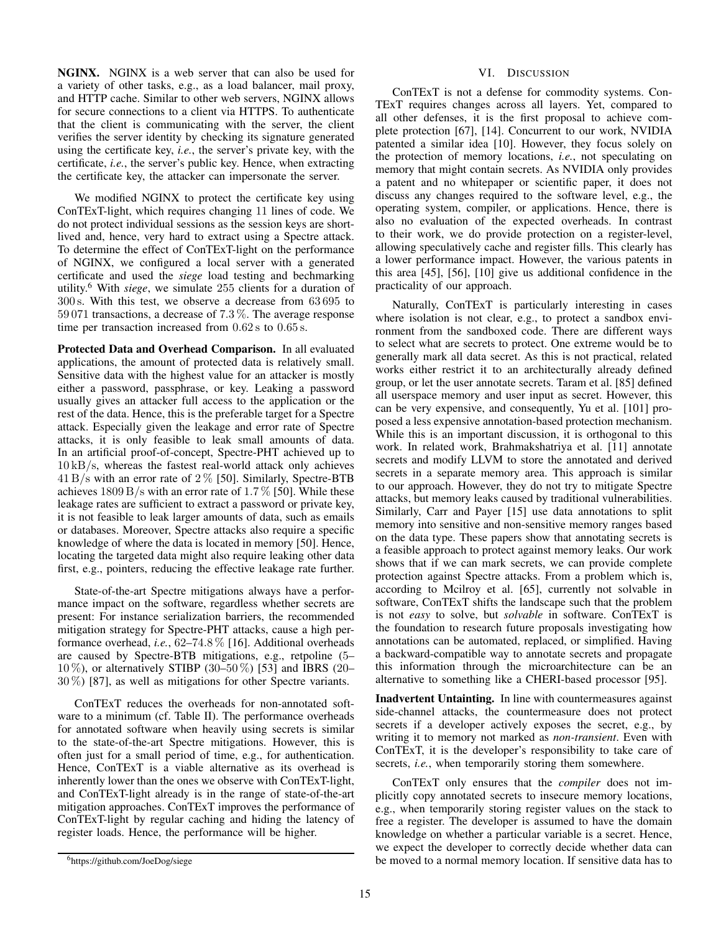NGINX. NGINX is a web server that can also be used for a variety of other tasks, e.g., as a load balancer, mail proxy, and HTTP cache. Similar to other web servers, NGINX allows for secure connections to a client via HTTPS. To authenticate that the client is communicating with the server, the client verifies the server identity by checking its signature generated using the certificate key, *i.e.*, the server's private key, with the certificate, *i.e.*, the server's public key. Hence, when extracting the certificate key, the attacker can impersonate the server.

We modified NGINX to protect the certificate key using ConTExT-light, which requires changing 11 lines of code. We do not protect individual sessions as the session keys are shortlived and, hence, very hard to extract using a Spectre attack. To determine the effect of ConTExT-light on the performance of NGINX, we configured a local server with a generated certificate and used the *siege* load testing and bechmarking utility.<sup>6</sup> With *siege*, we simulate 255 clients for a duration of 300 s. With this test, we observe a decrease from 63 695 to 59 071 transactions, a decrease of 7.3 %. The average response time per transaction increased from  $0.62$  s to  $0.65$  s.

Protected Data and Overhead Comparison. In all evaluated applications, the amount of protected data is relatively small. Sensitive data with the highest value for an attacker is mostly either a password, passphrase, or key. Leaking a password usually gives an attacker full access to the application or the rest of the data. Hence, this is the preferable target for a Spectre attack. Especially given the leakage and error rate of Spectre attacks, it is only feasible to leak small amounts of data. In an artificial proof-of-concept, Spectre-PHT achieved up to  $10 \text{ kB/s}$ , whereas the fastest real-world attack only achieves  $41 B/s$  with an error rate of  $2\%$  [50]. Similarly, Spectre-BTB achieves  $1809 \text{ B/s}$  with an error rate of 1.7 % [50]. While these leakage rates are sufficient to extract a password or private key, it is not feasible to leak larger amounts of data, such as emails or databases. Moreover, Spectre attacks also require a specific knowledge of where the data is located in memory [50]. Hence, locating the targeted data might also require leaking other data first, e.g., pointers, reducing the effective leakage rate further.

State-of-the-art Spectre mitigations always have a performance impact on the software, regardless whether secrets are present: For instance serialization barriers, the recommended mitigation strategy for Spectre-PHT attacks, cause a high performance overhead, *i.e.*, 62–74.8 % [16]. Additional overheads are caused by Spectre-BTB mitigations, e.g., retpoline (5– 10 %), or alternatively STIBP (30–50 %) [53] and IBRS (20– 30 %) [87], as well as mitigations for other Spectre variants.

ConTExT reduces the overheads for non-annotated software to a minimum (cf. Table II). The performance overheads for annotated software when heavily using secrets is similar to the state-of-the-art Spectre mitigations. However, this is often just for a small period of time, e.g., for authentication. Hence, ConTExT is a viable alternative as its overhead is inherently lower than the ones we observe with ConTExT-light, and ConTExT-light already is in the range of state-of-the-art mitigation approaches. ConTExT improves the performance of ConTExT-light by regular caching and hiding the latency of register loads. Hence, the performance will be higher.

## VI. DISCUSSION

ConTExT is not a defense for commodity systems. Con-TExT requires changes across all layers. Yet, compared to all other defenses, it is the first proposal to achieve complete protection [67], [14]. Concurrent to our work, NVIDIA patented a similar idea [10]. However, they focus solely on the protection of memory locations, *i.e.*, not speculating on memory that might contain secrets. As NVIDIA only provides a patent and no whitepaper or scientific paper, it does not discuss any changes required to the software level, e.g., the operating system, compiler, or applications. Hence, there is also no evaluation of the expected overheads. In contrast to their work, we do provide protection on a register-level, allowing speculatively cache and register fills. This clearly has a lower performance impact. However, the various patents in this area [45], [56], [10] give us additional confidence in the practicality of our approach.

Naturally, ConTExT is particularly interesting in cases where isolation is not clear, e.g., to protect a sandbox environment from the sandboxed code. There are different ways to select what are secrets to protect. One extreme would be to generally mark all data secret. As this is not practical, related works either restrict it to an architecturally already defined group, or let the user annotate secrets. Taram et al. [85] defined all userspace memory and user input as secret. However, this can be very expensive, and consequently, Yu et al. [101] proposed a less expensive annotation-based protection mechanism. While this is an important discussion, it is orthogonal to this work. In related work, Brahmakshatriya et al. [11] annotate secrets and modify LLVM to store the annotated and derived secrets in a separate memory area. This approach is similar to our approach. However, they do not try to mitigate Spectre attacks, but memory leaks caused by traditional vulnerabilities. Similarly, Carr and Payer [15] use data annotations to split memory into sensitive and non-sensitive memory ranges based on the data type. These papers show that annotating secrets is a feasible approach to protect against memory leaks. Our work shows that if we can mark secrets, we can provide complete protection against Spectre attacks. From a problem which is, according to Mcilroy et al. [65], currently not solvable in software, ConTExT shifts the landscape such that the problem is not *easy* to solve, but *solvable* in software. ConTExT is the foundation to research future proposals investigating how annotations can be automated, replaced, or simplified. Having a backward-compatible way to annotate secrets and propagate this information through the microarchitecture can be an alternative to something like a CHERI-based processor [95].

Inadvertent Untainting. In line with countermeasures against side-channel attacks, the countermeasure does not protect secrets if a developer actively exposes the secret, e.g., by writing it to memory not marked as *non-transient*. Even with ConTExT, it is the developer's responsibility to take care of secrets, *i.e.*, when temporarily storing them somewhere.

ConTExT only ensures that the *compiler* does not implicitly copy annotated secrets to insecure memory locations, e.g., when temporarily storing register values on the stack to free a register. The developer is assumed to have the domain knowledge on whether a particular variable is a secret. Hence, we expect the developer to correctly decide whether data can be moved to a normal memory location. If sensitive data has to

<sup>6</sup>https://github.com/JoeDog/siege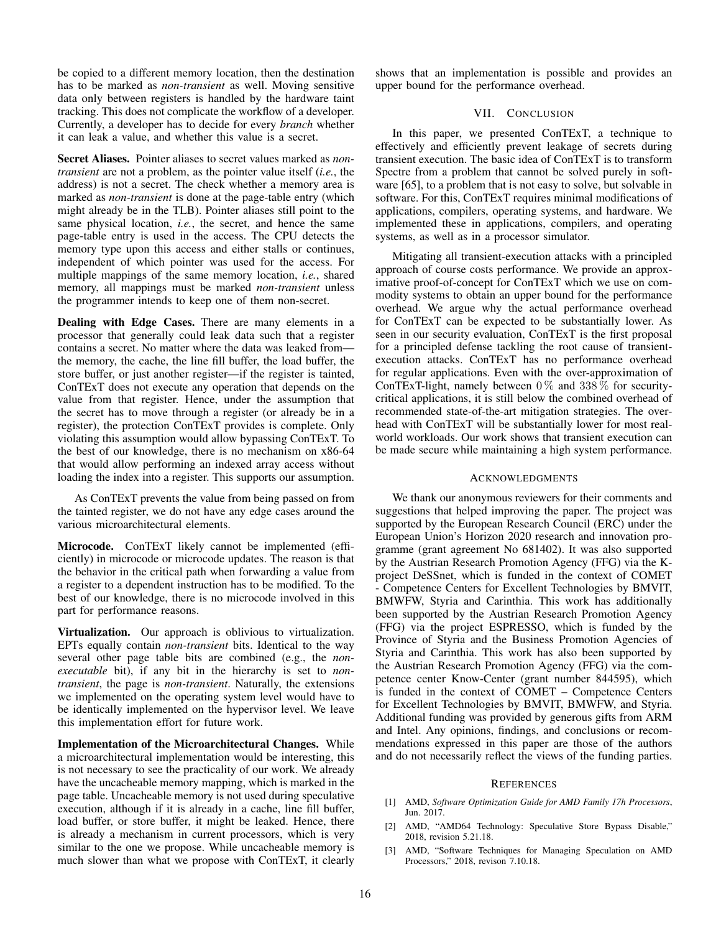be copied to a different memory location, then the destination has to be marked as *non-transient* as well. Moving sensitive data only between registers is handled by the hardware taint tracking. This does not complicate the workflow of a developer. Currently, a developer has to decide for every *branch* whether it can leak a value, and whether this value is a secret.

Secret Aliases. Pointer aliases to secret values marked as *nontransient* are not a problem, as the pointer value itself (*i.e.*, the address) is not a secret. The check whether a memory area is marked as *non-transient* is done at the page-table entry (which might already be in the TLB). Pointer aliases still point to the same physical location, *i.e.*, the secret, and hence the same page-table entry is used in the access. The CPU detects the memory type upon this access and either stalls or continues, independent of which pointer was used for the access. For multiple mappings of the same memory location, *i.e.*, shared memory, all mappings must be marked *non-transient* unless the programmer intends to keep one of them non-secret.

Dealing with Edge Cases. There are many elements in a processor that generally could leak data such that a register contains a secret. No matter where the data was leaked from the memory, the cache, the line fill buffer, the load buffer, the store buffer, or just another register—if the register is tainted, ConTExT does not execute any operation that depends on the value from that register. Hence, under the assumption that the secret has to move through a register (or already be in a register), the protection ConTExT provides is complete. Only violating this assumption would allow bypassing ConTExT. To the best of our knowledge, there is no mechanism on x86-64 that would allow performing an indexed array access without loading the index into a register. This supports our assumption.

As ConTExT prevents the value from being passed on from the tainted register, we do not have any edge cases around the various microarchitectural elements.

Microcode. ConTExT likely cannot be implemented (efficiently) in microcode or microcode updates. The reason is that the behavior in the critical path when forwarding a value from a register to a dependent instruction has to be modified. To the best of our knowledge, there is no microcode involved in this part for performance reasons.

Virtualization. Our approach is oblivious to virtualization. EPTs equally contain *non-transient* bits. Identical to the way several other page table bits are combined (e.g., the *nonexecutable* bit), if any bit in the hierarchy is set to *nontransient*, the page is *non-transient*. Naturally, the extensions we implemented on the operating system level would have to be identically implemented on the hypervisor level. We leave this implementation effort for future work.

Implementation of the Microarchitectural Changes. While a microarchitectural implementation would be interesting, this is not necessary to see the practicality of our work. We already have the uncacheable memory mapping, which is marked in the page table. Uncacheable memory is not used during speculative execution, although if it is already in a cache, line fill buffer, load buffer, or store buffer, it might be leaked. Hence, there is already a mechanism in current processors, which is very similar to the one we propose. While uncacheable memory is much slower than what we propose with ConTExT, it clearly shows that an implementation is possible and provides an upper bound for the performance overhead.

## VII. CONCLUSION

In this paper, we presented ConTExT, a technique to effectively and efficiently prevent leakage of secrets during transient execution. The basic idea of ConTExT is to transform Spectre from a problem that cannot be solved purely in software [65], to a problem that is not easy to solve, but solvable in software. For this, ConTExT requires minimal modifications of applications, compilers, operating systems, and hardware. We implemented these in applications, compilers, and operating systems, as well as in a processor simulator.

Mitigating all transient-execution attacks with a principled approach of course costs performance. We provide an approximative proof-of-concept for ConTExT which we use on commodity systems to obtain an upper bound for the performance overhead. We argue why the actual performance overhead for ConTExT can be expected to be substantially lower. As seen in our security evaluation, ConTExT is the first proposal for a principled defense tackling the root cause of transientexecution attacks. ConTExT has no performance overhead for regular applications. Even with the over-approximation of ConTExT-light, namely between  $0\%$  and  $338\%$  for securitycritical applications, it is still below the combined overhead of recommended state-of-the-art mitigation strategies. The overhead with ConTExT will be substantially lower for most realworld workloads. Our work shows that transient execution can be made secure while maintaining a high system performance.

#### ACKNOWLEDGMENTS

We thank our anonymous reviewers for their comments and suggestions that helped improving the paper. The project was supported by the European Research Council (ERC) under the European Union's Horizon 2020 research and innovation programme (grant agreement No 681402). It was also supported by the Austrian Research Promotion Agency (FFG) via the Kproject DeSSnet, which is funded in the context of COMET - Competence Centers for Excellent Technologies by BMVIT, BMWFW, Styria and Carinthia. This work has additionally been supported by the Austrian Research Promotion Agency (FFG) via the project ESPRESSO, which is funded by the Province of Styria and the Business Promotion Agencies of Styria and Carinthia. This work has also been supported by the Austrian Research Promotion Agency (FFG) via the competence center Know-Center (grant number 844595), which is funded in the context of COMET – Competence Centers for Excellent Technologies by BMVIT, BMWFW, and Styria. Additional funding was provided by generous gifts from ARM and Intel. Any opinions, findings, and conclusions or recommendations expressed in this paper are those of the authors and do not necessarily reflect the views of the funding parties.

#### **REFERENCES**

- [1] AMD, *Software Optimization Guide for AMD Family 17h Processors*, Jun. 2017.
- [2] AMD, "AMD64 Technology: Speculative Store Bypass Disable," 2018, revision 5.21.18.
- [3] AMD, "Software Techniques for Managing Speculation on AMD Processors," 2018, revison 7.10.18.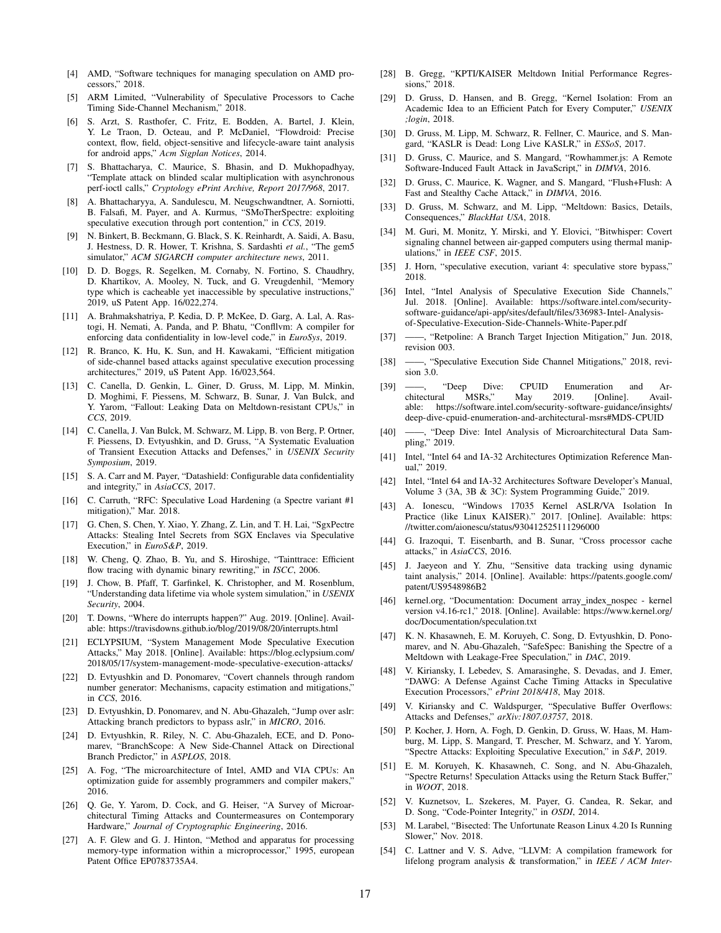- [4] AMD, "Software techniques for managing speculation on AMD processors," 2018.
- [5] ARM Limited, "Vulnerability of Speculative Processors to Cache Timing Side-Channel Mechanism," 2018.
- [6] S. Arzt, S. Rasthofer, C. Fritz, E. Bodden, A. Bartel, J. Klein, Y. Le Traon, D. Octeau, and P. McDaniel, "Flowdroid: Precise context, flow, field, object-sensitive and lifecycle-aware taint analysis for android apps," *Acm Sigplan Notices*, 2014.
- [7] S. Bhattacharya, C. Maurice, S. Bhasin, and D. Mukhopadhyay, "Template attack on blinded scalar multiplication with asynchronous perf-ioctl calls," *Cryptology ePrint Archive, Report 2017/968*, 2017.
- [8] A. Bhattacharyya, A. Sandulescu, M. Neugschwandtner, A. Sorniotti, B. Falsafi, M. Payer, and A. Kurmus, "SMoTherSpectre: exploiting speculative execution through port contention," in *CCS*, 2019.
- [9] N. Binkert, B. Beckmann, G. Black, S. K. Reinhardt, A. Saidi, A. Basu, J. Hestness, D. R. Hower, T. Krishna, S. Sardashti *et al.*, "The gem5 simulator," *ACM SIGARCH computer architecture news*, 2011.
- [10] D. D. Boggs, R. Segelken, M. Cornaby, N. Fortino, S. Chaudhry, D. Khartikov, A. Mooley, N. Tuck, and G. Vreugdenhil, "Memory type which is cacheable yet inaccessible by speculative instructions,' 2019, uS Patent App. 16/022,274.
- [11] A. Brahmakshatriya, P. Kedia, D. P. McKee, D. Garg, A. Lal, A. Rastogi, H. Nemati, A. Panda, and P. Bhatu, "Confllvm: A compiler for enforcing data confidentiality in low-level code," in *EuroSys*, 2019.
- [12] R. Branco, K. Hu, K. Sun, and H. Kawakami, "Efficient mitigation of side-channel based attacks against speculative execution processing architectures," 2019, uS Patent App. 16/023,564.
- [13] C. Canella, D. Genkin, L. Giner, D. Gruss, M. Lipp, M. Minkin, D. Moghimi, F. Piessens, M. Schwarz, B. Sunar, J. Van Bulck, and Y. Yarom, "Fallout: Leaking Data on Meltdown-resistant CPUs," in *CCS*, 2019.
- [14] C. Canella, J. Van Bulck, M. Schwarz, M. Lipp, B. von Berg, P. Ortner, F. Piessens, D. Evtyushkin, and D. Gruss, "A Systematic Evaluation of Transient Execution Attacks and Defenses," in *USENIX Security Symposium*, 2019.
- [15] S. A. Carr and M. Payer, "Datashield: Configurable data confidentiality and integrity," in *AsiaCCS*, 2017.
- [16] C. Carruth, "RFC: Speculative Load Hardening (a Spectre variant #1 mitigation)," Mar. 2018.
- [17] G. Chen, S. Chen, Y. Xiao, Y. Zhang, Z. Lin, and T. H. Lai, "SgxPectre Attacks: Stealing Intel Secrets from SGX Enclaves via Speculative Execution," in *EuroS&P*, 2019.
- [18] W. Cheng, Q. Zhao, B. Yu, and S. Hiroshige, "Tainttrace: Efficient flow tracing with dynamic binary rewriting," in *ISCC*, 2006.
- [19] J. Chow, B. Pfaff, T. Garfinkel, K. Christopher, and M. Rosenblum, "Understanding data lifetime via whole system simulation," in *USENIX Security*, 2004.
- [20] T. Downs, "Where do interrupts happen?" Aug. 2019. [Online]. Available: https://travisdowns.github.io/blog/2019/08/20/interrupts.html
- [21] ECLYPSIUM, "System Management Mode Speculative Execution Attacks," May 2018. [Online]. Available: https://blog.eclypsium.com/ 2018/05/17/system-management-mode-speculative-execution-attacks/
- [22] D. Evtyushkin and D. Ponomarev, "Covert channels through random number generator: Mechanisms, capacity estimation and mitigations," in *CCS*, 2016.
- [23] D. Evtyushkin, D. Ponomarev, and N. Abu-Ghazaleh, "Jump over aslr: Attacking branch predictors to bypass aslr," in *MICRO*, 2016.
- [24] D. Evtyushkin, R. Riley, N. C. Abu-Ghazaleh, ECE, and D. Ponomarev, "BranchScope: A New Side-Channel Attack on Directional Branch Predictor," in *ASPLOS*, 2018.
- [25] A. Fog, "The microarchitecture of Intel, AMD and VIA CPUs: An optimization guide for assembly programmers and compiler makers," 2016.
- [26] Q. Ge, Y. Yarom, D. Cock, and G. Heiser, "A Survey of Microarchitectural Timing Attacks and Countermeasures on Contemporary Hardware," *Journal of Cryptographic Engineering*, 2016.
- [27] A. F. Glew and G. J. Hinton, "Method and apparatus for processing memory-type information within a microprocessor," 1995, european Patent Office EP0783735A4.
- [28] B. Gregg, "KPTI/KAISER Meltdown Initial Performance Regressions," 2018.
- [29] D. Gruss, D. Hansen, and B. Gregg, "Kernel Isolation: From an Academic Idea to an Efficient Patch for Every Computer," *USENIX ;login*, 2018.
- [30] D. Gruss, M. Lipp, M. Schwarz, R. Fellner, C. Maurice, and S. Mangard, "KASLR is Dead: Long Live KASLR," in *ESSoS*, 2017.
- [31] D. Gruss, C. Maurice, and S. Mangard, "Rowhammer.js: A Remote Software-Induced Fault Attack in JavaScript," in *DIMVA*, 2016.
- [32] D. Gruss, C. Maurice, K. Wagner, and S. Mangard, "Flush+Flush: A Fast and Stealthy Cache Attack," in *DIMVA*, 2016.
- [33] D. Gruss, M. Schwarz, and M. Lipp, "Meltdown: Basics, Details, Consequences," *BlackHat USA*, 2018.
- [34] M. Guri, M. Monitz, Y. Mirski, and Y. Elovici, "Bitwhisper: Covert signaling channel between air-gapped computers using thermal manipulations," in *IEEE CSF*, 2015.
- [35] J. Horn, "speculative execution, variant 4: speculative store bypass," 2018.
- [36] Intel, "Intel Analysis of Speculative Execution Side Channels," Jul. 2018. [Online]. Available: https://software.intel.com/securitysoftware-guidance/api-app/sites/default/files/336983-Intel-Analysisof-Speculative-Execution-Side-Channels-White-Paper.pdf
- [37] ——, "Retpoline: A Branch Target Injection Mitigation," Jun. 2018, revision 003.
- [38] ——, "Speculative Execution Side Channel Mitigations," 2018, revision 3.0.
- [39] ——, "Deep Dive: CPUID Enumeration and Architectural MSRs," May 2019. [Online]. Available: https://software.intel.com/security-software-guidance/insights/ deep-dive-cpuid-enumeration-and-architectural-msrs#MDS-CPUID
- [40] ——, "Deep Dive: Intel Analysis of Microarchitectural Data Sampling," 2019.
- [41] Intel, "Intel 64 and IA-32 Architectures Optimization Reference Manual," 2019.
- [42] Intel, "Intel 64 and IA-32 Architectures Software Developer's Manual, Volume 3 (3A, 3B & 3C): System Programming Guide," 2019.
- [43] A. Ionescu, "Windows 17035 Kernel ASLR/VA Isolation In Practice (like Linux KAISER)." 2017. [Online]. Available: https: //twitter.com/aionescu/status/930412525111296000
- [44] G. Irazoqui, T. Eisenbarth, and B. Sunar, "Cross processor cache attacks," in *AsiaCCS*, 2016.
- [45] J. Jaeyeon and Y. Zhu, "Sensitive data tracking using dynamic taint analysis," 2014. [Online]. Available: https://patents.google.com/ patent/US9548986B2
- [46] kernel.org, "Documentation: Document array index nospec kernel version v4.16-rc1," 2018. [Online]. Available: https://www.kernel.org/ doc/Documentation/speculation.txt
- [47] K. N. Khasawneh, E. M. Koruyeh, C. Song, D. Evtyushkin, D. Ponomarev, and N. Abu-Ghazaleh, "SafeSpec: Banishing the Spectre of a Meltdown with Leakage-Free Speculation," in *DAC*, 2019.
- [48] V. Kiriansky, I. Lebedev, S. Amarasinghe, S. Devadas, and J. Emer, "DAWG: A Defense Against Cache Timing Attacks in Speculative Execution Processors," *ePrint 2018/418*, May 2018.
- [49] V. Kiriansky and C. Waldspurger, "Speculative Buffer Overflows: Attacks and Defenses," *arXiv:1807.03757*, 2018.
- [50] P. Kocher, J. Horn, A. Fogh, D. Genkin, D. Gruss, W. Haas, M. Hamburg, M. Lipp, S. Mangard, T. Prescher, M. Schwarz, and Y. Yarom, "Spectre Attacks: Exploiting Speculative Execution," in *S&P*, 2019.
- [51] E. M. Koruyeh, K. Khasawneh, C. Song, and N. Abu-Ghazaleh, "Spectre Returns! Speculation Attacks using the Return Stack Buffer," in *WOOT*, 2018.
- [52] V. Kuznetsov, L. Szekeres, M. Payer, G. Candea, R. Sekar, and D. Song, "Code-Pointer Integrity," in *OSDI*, 2014.
- [53] M. Larabel, "Bisected: The Unfortunate Reason Linux 4.20 Is Running Slower," Nov. 2018.
- [54] C. Lattner and V. S. Adve, "LLVM: A compilation framework for lifelong program analysis & transformation," in *IEEE / ACM Inter-*